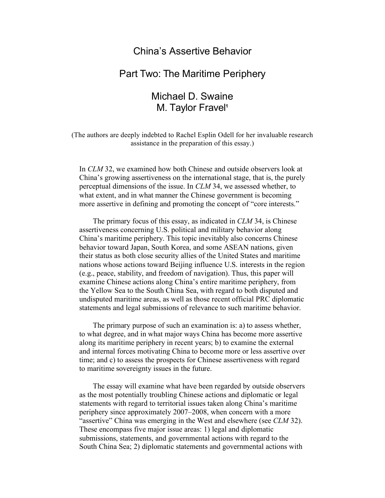## China's Assertive Behavior

## Part Two: The Maritime Periphery

# Michael D. Swaine M. Taylor Fravel**<sup>1</sup>**

(The authors are deeply indebted to Rachel Esplin Odell for her invaluable research assistance in the preparation of this essay.)

In *CLM* 32, we examined how both Chinese and outside observers look at China's growing assertiveness on the international stage, that is, the purely perceptual dimensions of the issue. In *CLM* 34, we assessed whether, to what extent, and in what manner the Chinese government is becoming more assertive in defining and promoting the concept of "core interests."

The primary focus of this essay, as indicated in *CLM* 34, is Chinese assertiveness concerning U.S. political and military behavior along China's maritime periphery. This topic inevitably also concerns Chinese behavior toward Japan, South Korea, and some ASEAN nations, given their status as both close security allies of the United States and maritime nations whose actions toward Beijing influence U.S. interests in the region (e.g., peace, stability, and freedom of navigation). Thus, this paper will examine Chinese actions along China's entire maritime periphery, from the Yellow Sea to the South China Sea, with regard to both disputed and undisputed maritime areas, as well as those recent official PRC diplomatic statements and legal submissions of relevance to such maritime behavior.

The primary purpose of such an examination is: a) to assess whether, to what degree, and in what major ways China has become more assertive along its maritime periphery in recent years; b) to examine the external and internal forces motivating China to become more or less assertive over time; and c) to assess the prospects for Chinese assertiveness with regard to maritime sovereignty issues in the future.

The essay will examine what have been regarded by outside observers as the most potentially troubling Chinese actions and diplomatic or legal statements with regard to territorial issues taken along China's maritime periphery since approximately 2007–2008, when concern with a more "assertive" China was emerging in the West and elsewhere (see *CLM* 32). These encompass five major issue areas: 1) legal and diplomatic submissions, statements, and governmental actions with regard to the South China Sea; 2) diplomatic statements and governmental actions with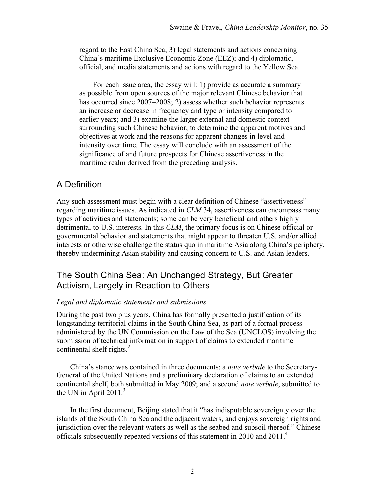regard to the East China Sea; 3) legal statements and actions concerning China's maritime Exclusive Economic Zone (EEZ); and 4) diplomatic, official, and media statements and actions with regard to the Yellow Sea.

For each issue area, the essay will: 1) provide as accurate a summary as possible from open sources of the major relevant Chinese behavior that has occurred since 2007–2008; 2) assess whether such behavior represents an increase or decrease in frequency and type or intensity compared to earlier years; and 3) examine the larger external and domestic context surrounding such Chinese behavior, to determine the apparent motives and objectives at work and the reasons for apparent changes in level and intensity over time. The essay will conclude with an assessment of the significance of and future prospects for Chinese assertiveness in the maritime realm derived from the preceding analysis.

## A Definition

Any such assessment must begin with a clear definition of Chinese "assertiveness" regarding maritime issues. As indicated in *CLM* 34, assertiveness can encompass many types of activities and statements; some can be very beneficial and others highly detrimental to U.S. interests. In this *CLM*, the primary focus is on Chinese official or governmental behavior and statements that might appear to threaten U.S. and/or allied interests or otherwise challenge the status quo in maritime Asia along China's periphery, thereby undermining Asian stability and causing concern to U.S. and Asian leaders.

## The South China Sea: An Unchanged Strategy, But Greater Activism, Largely in Reaction to Others

#### *Legal and diplomatic statements and submissions*

During the past two plus years, China has formally presented a justification of its longstanding territorial claims in the South China Sea, as part of a formal process administered by the UN Commission on the Law of the Sea (UNCLOS) involving the submission of technical information in support of claims to extended maritime continental shelf rights. $^{2}$ 

China's stance was contained in three documents: a *note verbale* to the Secretary-General of the United Nations and a preliminary declaration of claims to an extended continental shelf, both submitted in May 2009; and a second *note verbale*, submitted to the UN in April  $2011<sup>3</sup>$ 

In the first document, Beijing stated that it "has indisputable sovereignty over the islands of the South China Sea and the adjacent waters, and enjoys sovereign rights and jurisdiction over the relevant waters as well as the seabed and subsoil thereof." Chinese officials subsequently repeated versions of this statement in 2010 and 2011.<sup>4</sup>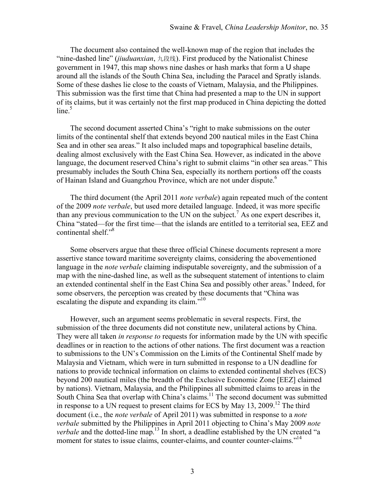The document also contained the well-known map of the region that includes the "nine-dashed line" (*jiuduanxian*, 九段线). First produced by the Nationalist Chinese government in 1947, this map shows nine dashes or hash marks that form a U shape around all the islands of the South China Sea, including the Paracel and Spratly islands. Some of these dashes lie close to the coasts of Vietnam, Malaysia, and the Philippines. This submission was the first time that China had presented a map to the UN in support of its claims, but it was certainly not the first map produced in China depicting the dotted  $line<sup>5</sup>$ 

The second document asserted China's "right to make submissions on the outer limits of the continental shelf that extends beyond 200 nautical miles in the East China Sea and in other sea areas." It also included maps and topographical baseline details, dealing almost exclusively with the East China Sea. However, as indicated in the above language, the document reserved China's right to submit claims "in other sea areas." This presumably includes the South China Sea, especially its northern portions off the coasts of Hainan Island and Guangzhou Province, which are not under dispute.<sup>6</sup>

The third document (the April 2011 *note verbale*) again repeated much of the content of the 2009 *note verbale*, but used more detailed language. Indeed, it was more specific than any previous communication to the UN on the subject.<sup>7</sup> As one expert describes it, China "stated—for the first time—that the islands are entitled to a territorial sea, EEZ and continental shelf." 8

Some observers argue that these three official Chinese documents represent a more assertive stance toward maritime sovereignty claims, considering the abovementioned language in the *note verbale* claiming indisputable sovereignty, and the submission of a map with the nine-dashed line, as well as the subsequent statement of intentions to claim an extended continental shelf in the East China Sea and possibly other areas.<sup>9</sup> Indeed, for some observers, the perception was created by these documents that "China was escalating the dispute and expanding its claim. $10^{10}$ 

However, such an argument seems problematic in several respects. First, the submission of the three documents did not constitute new, unilateral actions by China. They were all taken *in response to* requests for information made by the UN with specific deadlines or in reaction to the actions of other nations. The first document was a reaction to submissions to the UN's Commission on the Limits of the Continental Shelf made by Malaysia and Vietnam, which were in turn submitted in response to a UN deadline for nations to provide technical information on claims to extended continental shelves (ECS) beyond 200 nautical miles (the breadth of the Exclusive Economic Zone [EEZ] claimed by nations). Vietnam, Malaysia, and the Philippines all submitted claims to areas in the South China Sea that overlap with China's claims.<sup>11</sup> The second document was submitted in response to a UN request to present claims for ECS by May  $13$ ,  $2009$ .<sup>12</sup> The third document (i.e., the *note verbale* of April 2011) was submitted in response to a *note verbale* submitted by the Philippines in April 2011 objecting to China's May 2009 *note verbale* and the dotted-line map.<sup>13</sup> In short, a deadline established by the UN created "a moment for states to issue claims, counter-claims, and counter counter-claims."<sup>14</sup>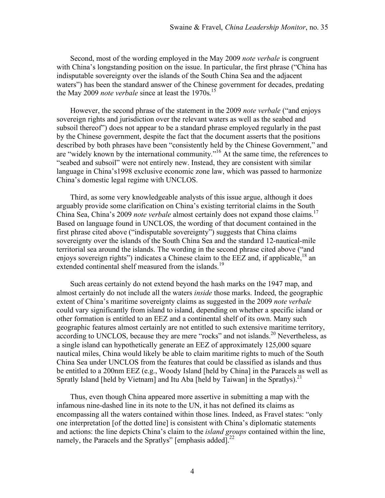Second, most of the wording employed in the May 2009 *note verbale* is congruent with China's longstanding position on the issue. In particular, the first phrase ("China has indisputable sovereignty over the islands of the South China Sea and the adjacent waters") has been the standard answer of the Chinese government for decades, predating the May 2009 *note verbale* since at least the 1970s. 15

However, the second phrase of the statement in the 2009 *note verbale* ("and enjoys sovereign rights and jurisdiction over the relevant waters as well as the seabed and subsoil thereof") does not appear to be a standard phrase employed regularly in the past by the Chinese government, despite the fact that the document asserts that the positions described by both phrases have been "consistently held by the Chinese Government," and are "widely known by the international community."16 At the same time, the references to "seabed and subsoil" were not entirely new. Instead, they are consistent with similar language in China's1998 exclusive economic zone law, which was passed to harmonize China's domestic legal regime with UNCLOS.

Third, as some very knowledgeable analysts of this issue argue, although it does arguably provide some clarification on China's existing territorial claims in the South China Sea, China's 2009 *note verbale* almost certainly does not expand those claims.17 Based on language found in UNCLOS, the wording of that document contained in the first phrase cited above ("indisputable sovereignty") suggests that China claims sovereignty over the islands of the South China Sea and the standard 12-nautical-mile territorial sea around the islands. The wording in the second phrase cited above ("and enjoys sovereign rights") indicates a Chinese claim to the EEZ and, if applicable,  $^{18}$  an extended continental shelf measured from the islands.<sup>19</sup>

Such areas certainly do not extend beyond the hash marks on the 1947 map, and almost certainly do not include all the waters *inside* those marks. Indeed, the geographic extent of China's maritime sovereignty claims as suggested in the 2009 *note verbale*  could vary significantly from island to island, depending on whether a specific island or other formation is entitled to an EEZ and a continental shelf of its own. Many such geographic features almost certainly are not entitled to such extensive maritime territory, according to UNCLOS, because they are mere "rocks" and not islands.<sup>20</sup> Nevertheless, as a single island can hypothetically generate an EEZ of approximately 125,000 square nautical miles, China would likely be able to claim maritime rights to much of the South China Sea under UNCLOS from the features that could be classified as islands and thus be entitled to a 200nm EEZ (e.g., Woody Island [held by China] in the Paracels as well as Spratly Island [held by Vietnam] and Itu Aba [held by Taiwan] in the Spratlys).<sup>21</sup>

Thus, even though China appeared more assertive in submitting a map with the infamous nine-dashed line in its note to the UN, it has not defined its claims as encompassing all the waters contained within those lines. Indeed, as Fravel states: "only one interpretation [of the dotted line] is consistent with China's diplomatic statements and actions: the line depicts China's claim to the *island groups* contained within the line, namely, the Paracels and the Spratlys" [emphasis added].<sup>22</sup>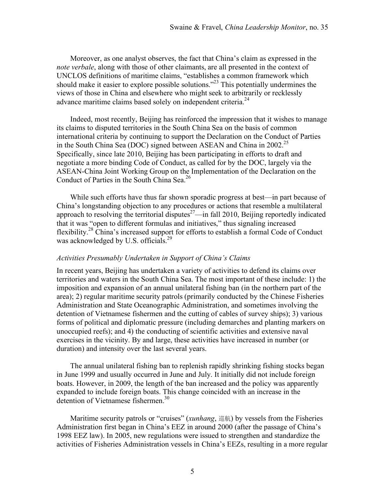Moreover, as one analyst observes, the fact that China's claim as expressed in the *note verbale*, along with those of other claimants, are all presented in the context of UNCLOS definitions of maritime claims, "establishes a common framework which should make it easier to explore possible solutions.<sup> $23$ </sup> This potentially undermines the views of those in China and elsewhere who might seek to arbitrarily or recklessly advance maritime claims based solely on independent criteria.<sup>24</sup>

Indeed, most recently, Beijing has reinforced the impression that it wishes to manage its claims to disputed territories in the South China Sea on the basis of common international criteria by continuing to support the Declaration on the Conduct of Parties in the South China Sea (DOC) signed between ASEAN and China in  $2002<sup>25</sup>$ Specifically, since late 2010, Beijing has been participating in efforts to draft and negotiate a more binding Code of Conduct, as called for by the DOC, largely via the ASEAN-China Joint Working Group on the Implementation of the Declaration on the Conduct of Parties in the South China Sea.<sup>26</sup>

While such efforts have thus far shown sporadic progress at best—in part because of China's longstanding objection to any procedures or actions that resemble a multilateral approach to resolving the territorial disputes $27$ —in fall 2010, Beijing reportedly indicated that it was "open to different formulas and initiatives," thus signaling increased flexibility.<sup>28</sup> China's increased support for efforts to establish a formal Code of Conduct was acknowledged by U.S. officials.<sup>29</sup>

#### *Activities Presumably Undertaken in Support of China's Claims*

In recent years, Beijing has undertaken a variety of activities to defend its claims over territories and waters in the South China Sea. The most important of these include: 1) the imposition and expansion of an annual unilateral fishing ban (in the northern part of the area); 2) regular maritime security patrols (primarily conducted by the Chinese Fisheries Administration and State Oceanographic Administration, and sometimes involving the detention of Vietnamese fishermen and the cutting of cables of survey ships); 3) various forms of political and diplomatic pressure (including demarches and planting markers on unoccupied reefs); and 4) the conducting of scientific activities and extensive naval exercises in the vicinity. By and large, these activities have increased in number (or duration) and intensity over the last several years.

The annual unilateral fishing ban to replenish rapidly shrinking fishing stocks began in June 1999 and usually occurred in June and July. It initially did not include foreign boats. However, in 2009, the length of the ban increased and the policy was apparently expanded to include foreign boats. This change coincided with an increase in the detention of Vietnamese fishermen.<sup>30</sup>

Maritime security patrols or "cruises" (*xunhang*, 巡航) by vessels from the Fisheries Administration first began in China's EEZ in around 2000 (after the passage of China's 1998 EEZ law). In 2005, new regulations were issued to strengthen and standardize the activities of Fisheries Administration vessels in China's EEZs, resulting in a more regular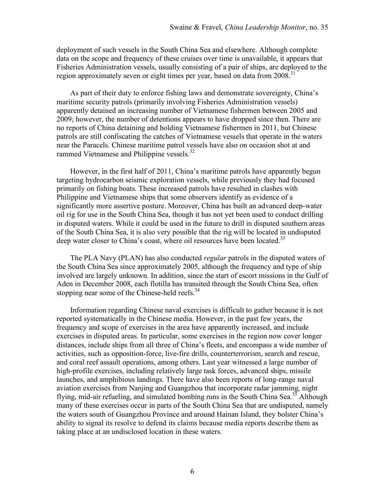deployment of such vessels in the South China Sea and elsewhere. Although complete data on the scope and frequency of these cruises over time is unavailable, it appears that Fisheries Administration vessels, usually consisting of a pair of ships, are deployed to the region approximately seven or eight times per year, based on data from 2008.<sup>31</sup>

As part of their duty to enforce fishing laws and demonstrate sovereignty, China's maritime security patrols (primarily involving Fisheries Administration vessels) apparently detained an increasing number of Vietnamese fishermen between 2005 and 2009; however, the number of detentions appears to have dropped since then. There are no reports of China detaining and holding Vietnamese fishermen in 2011, but Chinese patrols are still confiscating the catches of Vietnamese vessels that operate in the waters near the Paracels. Chinese maritime patrol vessels have also on occasion shot at and rammed Vietnamese and Philippine vessels.<sup>32</sup>

However, in the first half of 2011, China's maritime patrols have apparently begun targeting hydrocarbon seismic exploration vessels, while previously they had focused primarily on fishing boats. These increased patrols have resulted in clashes with Philippine and Vietnamese ships that some observers identify as evidence of a significantly more assertive posture. Moreover, China has built an advanced deep-water oil rig for use in the South China Sea, though it has not yet been used to conduct drilling in disputed waters. While it could be used in the future to drill in disputed southern areas of the South China Sea, it is also very possible that the rig will be located in undisputed deep water closer to China's coast, where oil resources have been located.<sup>33</sup>

The PLA Navy (PLAN) has also conducted *regular* patrols in the disputed waters of the South China Sea since approximately 2005, although the frequency and type of ship involved are largely unknown. In addition, since the start of escort missions in the Gulf of Aden in December 2008, each flotilla has transited through the South China Sea, often stopping near some of the Chinese-held reefs.<sup>34</sup>

Information regarding Chinese naval exercises is difficult to gather because it is not reported systematically in the Chinese media. However, in the past few years, the frequency and scope of exercises in the area have apparently increased, and include exercises in disputed areas. In particular, some exercises in the region now cover longer distances, include ships from all three of China's fleets, and encompass a wide number of activities, such as opposition-force, live-fire drills, counterterrorism, search and rescue, and coral reef assault operations, among others. Last year witnessed a large number of high-profile exercises, including relatively large task forces, advanced ships, missile launches, and amphibious landings. There have also been reports of long-range naval aviation exercises from Nanjing and Guangzhou that incorporate radar jamming, night flying, mid-air refueling, and simulated bombing runs in the South China Sea.<sup>35</sup> Although many of these exercises occur in parts of the South China Sea that are undisputed, namely the waters south of Guangzhou Province and around Hainan Island, they bolster China's ability to signal its resolve to defend its claims because media reports describe them as taking place at an undisclosed location in these waters.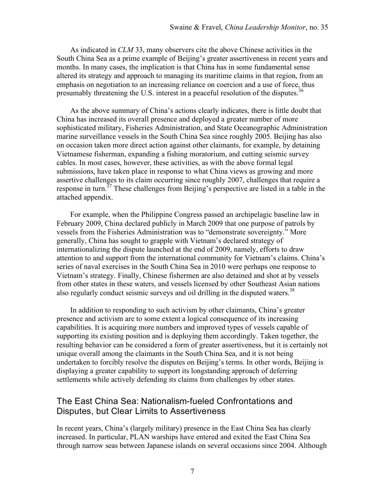As indicated in *CLM* 33, many observers cite the above Chinese activities in the South China Sea as a prime example of Beijing's greater assertiveness in recent years and months. In many cases, the implication is that China has in some fundamental sense altered its strategy and approach to managing its maritime claims in that region, from an emphasis on negotiation to an increasing reliance on coercion and a use of force, thus presumably threatening the U.S. interest in a peaceful resolution of the disputes.<sup>36</sup>

As the above summary of China's actions clearly indicates, there is little doubt that China has increased its overall presence and deployed a greater number of more sophisticated military, Fisheries Administration, and State Oceanographic Administration marine surveillance vessels in the South China Sea since roughly 2005. Beijing has also on occasion taken more direct action against other claimants, for example, by detaining Vietnamese fisherman, expanding a fishing moratorium, and cutting seismic survey cables. In most cases, however, these activities, as with the above formal legal submissions, have taken place in response to what China views as growing and more assertive challenges to its claim occurring since roughly 2007, challenges that require a response in turn.<sup>37</sup> These challenges from Beijing's perspective are listed in a table in the attached appendix.

For example, when the Philippine Congress passed an archipelagic baseline law in February 2009, China declared publicly in March 2009 that one purpose of patrols by vessels from the Fisheries Administration was to "demonstrate sovereignty." More generally, China has sought to grapple with Vietnam's declared strategy of internationalizing the dispute launched at the end of 2009, namely, efforts to draw attention to and support from the international community for Vietnam's claims. China's series of naval exercises in the South China Sea in 2010 were perhaps one response to Vietnam's strategy. Finally, Chinese fishermen are also detained and shot at by vessels from other states in these waters, and vessels licensed by other Southeast Asian nations also regularly conduct seismic surveys and oil drilling in the disputed waters.<sup>38</sup>

In addition to responding to such activism by other claimants, China's greater presence and activism are to some extent a logical consequence of its increasing capabilities. It is acquiring more numbers and improved types of vessels capable of supporting its existing position and is deploying them accordingly. Taken together, the resulting behavior can be considered a form of greater assertiveness, but it is certainly not unique overall among the claimants in the South China Sea, and it is not being undertaken to forcibly resolve the disputes on Beijing's terms. In other words, Beijing is displaying a greater capability to support its longstanding approach of deferring settlements while actively defending its claims from challenges by other states.

## The East China Sea: Nationalism-fueled Confrontations and Disputes, but Clear Limits to Assertiveness

In recent years, China's (largely military) presence in the East China Sea has clearly increased. In particular, PLAN warships have entered and exited the East China Sea through narrow seas between Japanese islands on several occasions since 2004. Although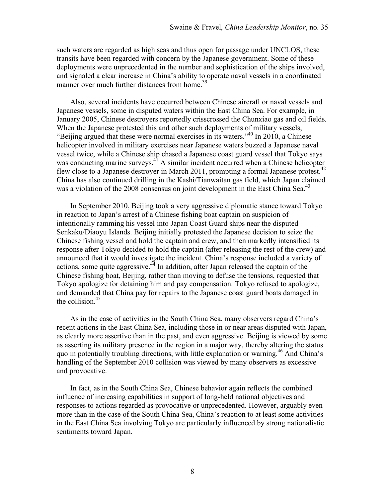such waters are regarded as high seas and thus open for passage under UNCLOS, these transits have been regarded with concern by the Japanese government. Some of these deployments were unprecedented in the number and sophistication of the ships involved, and signaled a clear increase in China's ability to operate naval vessels in a coordinated manner over much further distances from home.<sup>39</sup>

Also, several incidents have occurred between Chinese aircraft or naval vessels and Japanese vessels, some in disputed waters within the East China Sea. For example, in January 2005, Chinese destroyers reportedly crisscrossed the Chunxiao gas and oil fields. When the Japanese protested this and other such deployments of military vessels, "Beijing argued that these were normal exercises in its waters."<sup>40</sup> In 2010, a Chinese helicopter involved in military exercises near Japanese waters buzzed a Japanese naval vessel twice, while a Chinese ship chased a Japanese coast guard vessel that Tokyo says was conducting marine surveys.<sup>41</sup> A similar incident occurred when a Chinese helicopter flew close to a Japanese destroyer in March 2011, prompting a formal Japanese protest.<sup>42</sup> China has also continued drilling in the Kashi/Tianwaitan gas field, which Japan claimed was a violation of the 2008 consensus on joint development in the East China Sea.<sup>43</sup>

In September 2010, Beijing took a very aggressive diplomatic stance toward Tokyo in reaction to Japan's arrest of a Chinese fishing boat captain on suspicion of intentionally ramming his vessel into Japan Coast Guard ships near the disputed Senkaku/Diaoyu Islands. Beijing initially protested the Japanese decision to seize the Chinese fishing vessel and hold the captain and crew, and then markedly intensified its response after Tokyo decided to hold the captain (after releasing the rest of the crew) and announced that it would investigate the incident. China's response included a variety of actions, some quite aggressive.<sup> $44$ </sup> In addition, after Japan released the captain of the Chinese fishing boat, Beijing, rather than moving to defuse the tensions, requested that Tokyo apologize for detaining him and pay compensation. Tokyo refused to apologize, and demanded that China pay for repairs to the Japanese coast guard boats damaged in the collision. $45$ 

As in the case of activities in the South China Sea, many observers regard China's recent actions in the East China Sea, including those in or near areas disputed with Japan, as clearly more assertive than in the past, and even aggressive. Beijing is viewed by some as asserting its military presence in the region in a major way, thereby altering the status quo in potentially troubling directions, with little explanation or warning.46 And China's handling of the September 2010 collision was viewed by many observers as excessive and provocative.

In fact, as in the South China Sea, Chinese behavior again reflects the combined influence of increasing capabilities in support of long-held national objectives and responses to actions regarded as provocative or unprecedented. However, arguably even more than in the case of the South China Sea, China's reaction to at least some activities in the East China Sea involving Tokyo are particularly influenced by strong nationalistic sentiments toward Japan.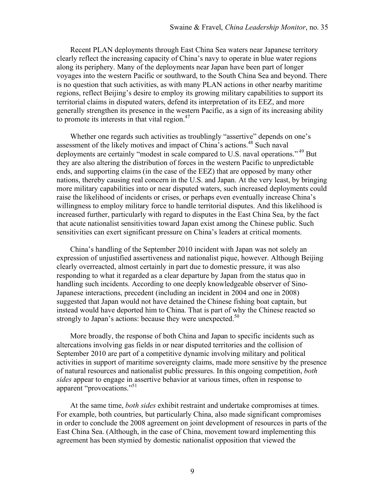Recent PLAN deployments through East China Sea waters near Japanese territory clearly reflect the increasing capacity of China's navy to operate in blue water regions along its periphery. Many of the deployments near Japan have been part of longer voyages into the western Pacific or southward, to the South China Sea and beyond. There is no question that such activities, as with many PLAN actions in other nearby maritime regions, reflect Beijing's desire to employ its growing military capabilities to support its territorial claims in disputed waters, defend its interpretation of its EEZ, and more generally strengthen its presence in the western Pacific, as a sign of its increasing ability to promote its interests in that vital region. $47$ 

Whether one regards such activities as troublingly "assertive" depends on one's assessment of the likely motives and impact of China's actions.<sup>48</sup> Such naval deployments are certainly "modest in scale compared to U.S. naval operations."<sup>49</sup> But they are also altering the distribution of forces in the western Pacific to unpredictable ends, and supporting claims (in the case of the EEZ) that are opposed by many other nations, thereby causing real concern in the U.S. and Japan. At the very least, by bringing more military capabilities into or near disputed waters, such increased deployments could raise the likelihood of incidents or crises, or perhaps even eventually increase China's willingness to employ military force to handle territorial disputes. And this likelihood is increased further, particularly with regard to disputes in the East China Sea, by the fact that acute nationalist sensitivities toward Japan exist among the Chinese public. Such sensitivities can exert significant pressure on China's leaders at critical moments.

China's handling of the September 2010 incident with Japan was not solely an expression of unjustified assertiveness and nationalist pique, however. Although Beijing clearly overreacted, almost certainly in part due to domestic pressure, it was also responding to what it regarded as a clear departure by Japan from the status quo in handling such incidents. According to one deeply knowledgeable observer of Sino-Japanese interactions, precedent (including an incident in 2004 and one in 2008) suggested that Japan would not have detained the Chinese fishing boat captain, but instead would have deported him to China. That is part of why the Chinese reacted so strongly to Japan's actions: because they were unexpected.<sup>50</sup>

More broadly, the response of both China and Japan to specific incidents such as altercations involving gas fields in or near disputed territories and the collision of September 2010 are part of a competitive dynamic involving military and political activities in support of maritime sovereignty claims, made more sensitive by the presence of natural resources and nationalist public pressures. In this ongoing competition, *both sides* appear to engage in assertive behavior at various times, often in response to apparent "provocations."<sup>51</sup>

At the same time, *both sides* exhibit restraint and undertake compromises at times. For example, both countries, but particularly China, also made significant compromises in order to conclude the 2008 agreement on joint development of resources in parts of the East China Sea. (Although, in the case of China, movement toward implementing this agreement has been stymied by domestic nationalist opposition that viewed the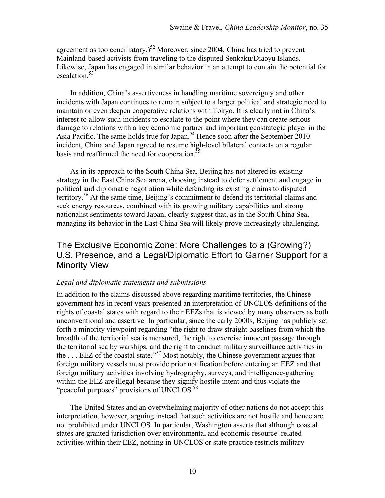agreement as too conciliatory.)<sup>52</sup> Moreover, since 2004, China has tried to prevent Mainland-based activists from traveling to the disputed Senkaku/Diaoyu Islands. Likewise, Japan has engaged in similar behavior in an attempt to contain the potential for escalation.<sup>53</sup>

In addition, China's assertiveness in handling maritime sovereignty and other incidents with Japan continues to remain subject to a larger political and strategic need to maintain or even deepen cooperative relations with Tokyo. It is clearly not in China's interest to allow such incidents to escalate to the point where they can create serious damage to relations with a key economic partner and important geostrategic player in the Asia Pacific. The same holds true for Japan.<sup>54</sup> Hence soon after the September 2010 incident, China and Japan agreed to resume high-level bilateral contacts on a regular basis and reaffirmed the need for cooperation.<sup>55</sup>

As in its approach to the South China Sea, Beijing has not altered its existing strategy in the East China Sea arena, choosing instead to defer settlement and engage in political and diplomatic negotiation while defending its existing claims to disputed territory.<sup>56</sup> At the same time, Beijing's commitment to defend its territorial claims and seek energy resources, combined with its growing military capabilities and strong nationalist sentiments toward Japan, clearly suggest that, as in the South China Sea, managing its behavior in the East China Sea will likely prove increasingly challenging.

## The Exclusive Economic Zone: More Challenges to a (Growing?) U.S. Presence, and a Legal/Diplomatic Effort to Garner Support for a Minority View

#### *Legal and diplomatic statements and submissions*

In addition to the claims discussed above regarding maritime territories, the Chinese government has in recent years presented an interpretation of UNCLOS definitions of the rights of coastal states with regard to their EEZs that is viewed by many observers as both unconventional and assertive. In particular, since the early 2000s, Beijing has publicly set forth a minority viewpoint regarding "the right to draw straight baselines from which the breadth of the territorial sea is measured, the right to exercise innocent passage through the territorial sea by warships, and the right to conduct military surveillance activities in the . . . EEZ of the coastal state."57 Most notably, the Chinese government argues that foreign military vessels must provide prior notification before entering an EEZ and that foreign military activities involving hydrography, surveys, and intelligence-gathering within the EEZ are illegal because they signify hostile intent and thus violate the "peaceful purposes" provisions of UNCLOS.<sup>58</sup>

The United States and an overwhelming majority of other nations do not accept this interpretation, however, arguing instead that such activities are not hostile and hence are not prohibited under UNCLOS. In particular, Washington asserts that although coastal states are granted jurisdiction over environmental and economic resource–related activities within their EEZ, nothing in UNCLOS or state practice restricts military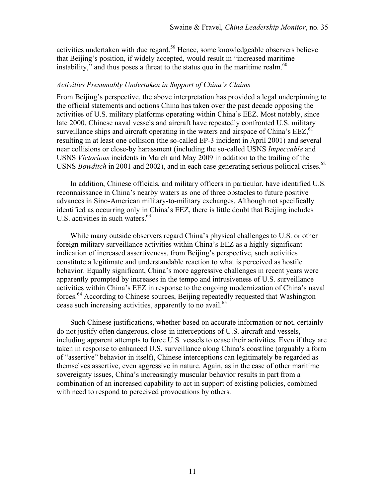activities undertaken with due regard.<sup>59</sup> Hence, some knowledgeable observers believe that Beijing's position, if widely accepted, would result in "increased maritime instability," and thus poses a threat to the status quo in the maritime realm. $60$ 

#### *Activities Presumably Undertaken in Support of China's Claims*

From Beijing's perspective, the above interpretation has provided a legal underpinning to the official statements and actions China has taken over the past decade opposing the activities of U.S. military platforms operating within China's EEZ. Most notably, since late 2000, Chinese naval vessels and aircraft have repeatedly confronted U.S. military surveillance ships and aircraft operating in the waters and airspace of China's  $EEZ<sub>0</sub><sup>61</sup>$ resulting in at least one collision (the so-called EP-3 incident in April 2001) and several near collisions or close-by harassment (including the so-called USNS *Impeccable* and USNS *Victorious* incidents in March and May 2009 in addition to the trailing of the USNS *Bowditch* in 2001 and 2002), and in each case generating serious political crises.<sup>62</sup>

In addition, Chinese officials, and military officers in particular, have identified U.S. reconnaissance in China's nearby waters as one of three obstacles to future positive advances in Sino-American military-to-military exchanges. Although not specifically identified as occurring only in China's EEZ, there is little doubt that Beijing includes U.S. activities in such waters. $63$ 

While many outside observers regard China's physical challenges to U.S. or other foreign military surveillance activities within China's EEZ as a highly significant indication of increased assertiveness, from Beijing's perspective, such activities constitute a legitimate and understandable reaction to what is perceived as hostile behavior. Equally significant, China's more aggressive challenges in recent years were apparently prompted by increases in the tempo and intrusiveness of U.S. surveillance activities within China's EEZ in response to the ongoing modernization of China's naval forces.<sup>64</sup> According to Chinese sources, Beijing repeatedly requested that Washington cease such increasing activities, apparently to no avail.<sup>65</sup>

Such Chinese justifications, whether based on accurate information or not, certainly do not justify often dangerous, close-in interceptions of U.S. aircraft and vessels, including apparent attempts to force U.S. vessels to cease their activities. Even if they are taken in response to enhanced U.S. surveillance along China's coastline (arguably a form of "assertive" behavior in itself), Chinese interceptions can legitimately be regarded as themselves assertive, even aggressive in nature. Again, as in the case of other maritime sovereignty issues, China's increasingly muscular behavior results in part from a combination of an increased capability to act in support of existing policies, combined with need to respond to perceived provocations by others.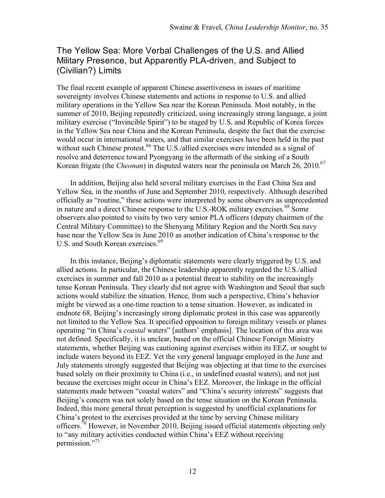# The Yellow Sea: More Verbal Challenges of the U.S. and Allied Military Presence, but Apparently PLA-driven, and Subject to (Civilian?) Limits

The final recent example of apparent Chinese assertiveness in issues of maritime sovereignty involves Chinese statements and actions in response to U.S. and allied military operations in the Yellow Sea near the Korean Peninsula. Most notably, in the summer of 2010, Beijing repeatedly criticized, using increasingly strong language, a joint military exercise ("Invincible Spirit") to be staged by U.S. and Republic of Korea forces in the Yellow Sea near China and the Korean Peninsula, despite the fact that the exercise would occur in international waters, and that similar exercises have been held in the past without such Chinese protest.<sup>66</sup> The U.S./allied exercises were intended as a signal of resolve and deterrence toward Pyongyang in the aftermath of the sinking of a South Korean frigate (the *Cheonan*) in disputed waters near the peninsula on March 26, 2010.<sup>67</sup>

In addition, Beijing also held several military exercises in the East China Sea and Yellow Sea, in the months of June and September 2010, respectively. Although described officially as "routine," these actions were interpreted by some observers as unprecedented in nature and a direct Chinese response to the U.S.-ROK military exercises.<sup>68</sup> Some observers also pointed to visits by two very senior PLA officers (deputy chairmen of the Central Military Committee) to the Shenyang Military Region and the North Sea navy base near the Yellow Sea in June 2010 as another indication of China's response to the U.S. and South Korean exercises.<sup>69</sup>

In this instance, Beijing's diplomatic statements were clearly triggered by U.S. and allied actions. In particular, the Chinese leadership apparently regarded the U.S./allied exercises in summer and fall 2010 as a potential threat to stability on the increasingly tense Korean Peninsula. They clearly did not agree with Washington and Seoul that such actions would stabilize the situation. Hence, from such a perspective, China's behavior might be viewed as a one-time reaction to a tense situation. However, as indicated in endnote 68, Beijing's increasingly strong diplomatic protest in this case was apparently not limited to the Yellow Sea. It specified opposition to foreign military vessels or planes operating "in China's *coastal* waters" [authors' emphasis]. The location of this area was not defined. Specifically, it is unclear, based on the official Chinese Foreign Ministry statements, whether Beijing was cautioning against exercises within its EEZ, or sought to include waters beyond its EEZ. Yet the very general language employed in the June and July statements strongly suggested that Beijing was objecting at that time to the exercises based solely on their proximity to China (i.e., in undefined coastal waters), and not just because the exercises might occur in China's EEZ. Moreover, the linkage in the official statements made between "coastal waters" and "China's security interests" suggests that Beijing's concern was not solely based on the tense situation on the Korean Peninsula. Indeed, this more general threat perception is suggested by unofficial explanations for China's protest to the exercises provided at the time by serving Chinese military officers.<sup>70</sup> However, in November 2010, Beijing issued official statements objecting only to "any military activities conducted within China's EEZ without receiving permission."71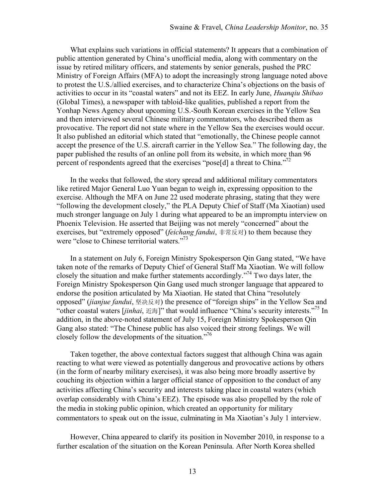What explains such variations in official statements? It appears that a combination of public attention generated by China's unofficial media, along with commentary on the issue by retired military officers, and statements by senior generals, pushed the PRC Ministry of Foreign Affairs (MFA) to adopt the increasingly strong language noted above to protest the U.S./allied exercises, and to characterize China's objections on the basis of activities to occur in its "coastal waters" and not its EEZ. In early June, *Huanqiu Shibao*  (Global Times), a newspaper with tabloid-like qualities, published a report from the Yonhap News Agency about upcoming U.S.-South Korean exercises in the Yellow Sea and then interviewed several Chinese military commentators, who described them as provocative. The report did not state where in the Yellow Sea the exercises would occur. It also published an editorial which stated that "emotionally, the Chinese people cannot accept the presence of the U.S. aircraft carrier in the Yellow Sea." The following day, the paper published the results of an online poll from its website, in which more than 96 percent of respondents agreed that the exercises "pose[d] a threat to China."<sup>72</sup>

In the weeks that followed, the story spread and additional military commentators like retired Major General Luo Yuan began to weigh in, expressing opposition to the exercise. Although the MFA on June 22 used moderate phrasing, stating that they were "following the development closely," the PLA Deputy Chief of Staff (Ma Xiaotian) used much stronger language on July 1 during what appeared to be an impromptu interview on Phoenix Television. He asserted that Beijing was not merely "concerned" about the exercises, but "extremely opposed" (*feichang fandui*, 非常反对) to them because they were "close to Chinese territorial waters."<sup>73</sup>

In a statement on July 6, Foreign Ministry Spokesperson Qin Gang stated, "We have taken note of the remarks of Deputy Chief of General Staff Ma Xiaotian. We will follow closely the situation and make further statements accordingly."74 Two days later, the Foreign Ministry Spokesperson Qin Gang used much stronger language that appeared to endorse the position articulated by Ma Xiaotian. He stated that China "resolutely opposed" (*jianjue fandui*, 坚决反对) the presence of "foreign ships" in the Yellow Sea and "other coastal waters [*jinhai*, 近海]" that would influence "China's security interests."75 In addition, in the above-noted statement of July 15, Foreign Ministry Spokesperson Qin Gang also stated: "The Chinese public has also voiced their strong feelings. We will closely follow the developments of the situation."<sup>76</sup>

Taken together, the above contextual factors suggest that although China was again reacting to what were viewed as potentially dangerous and provocative actions by others (in the form of nearby military exercises), it was also being more broadly assertive by couching its objection within a larger official stance of opposition to the conduct of any activities affecting China's security and interests taking place in coastal waters (which overlap considerably with China's EEZ). The episode was also propelled by the role of the media in stoking public opinion, which created an opportunity for military commentators to speak out on the issue, culminating in Ma Xiaotian's July 1 interview.

However, China appeared to clarify its position in November 2010, in response to a further escalation of the situation on the Korean Peninsula. After North Korea shelled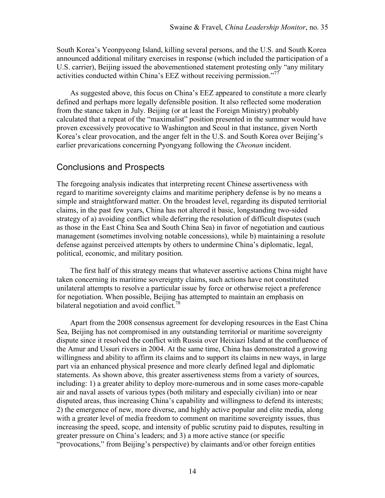South Korea's Yeonpyeong Island, killing several persons, and the U.S. and South Korea announced additional military exercises in response (which included the participation of a U.S. carrier), Beijing issued the abovementioned statement protesting only "any military activities conducted within China's EEZ without receiving permission."<sup>77</sup>

As suggested above, this focus on China's EEZ appeared to constitute a more clearly defined and perhaps more legally defensible position. It also reflected some moderation from the stance taken in July. Beijing (or at least the Foreign Ministry) probably calculated that a repeat of the "maximalist" position presented in the summer would have proven excessively provocative to Washington and Seoul in that instance, given North Korea's clear provocation, and the anger felt in the U.S. and South Korea over Beijing's earlier prevarications concerning Pyongyang following the *Cheonan* incident.

## Conclusions and Prospects

The foregoing analysis indicates that interpreting recent Chinese assertiveness with regard to maritime sovereignty claims and maritime periphery defense is by no means a simple and straightforward matter. On the broadest level, regarding its disputed territorial claims, in the past few years, China has not altered it basic, longstanding two-sided strategy of a) avoiding conflict while deferring the resolution of difficult disputes (such as those in the East China Sea and South China Sea) in favor of negotiation and cautious management (sometimes involving notable concessions), while b) maintaining a resolute defense against perceived attempts by others to undermine China's diplomatic, legal, political, economic, and military position.

The first half of this strategy means that whatever assertive actions China might have taken concerning its maritime sovereignty claims, such actions have not constituted unilateral attempts to resolve a particular issue by force or otherwise reject a preference for negotiation. When possible, Beijing has attempted to maintain an emphasis on bilateral negotiation and avoid conflict.<sup>78</sup>

Apart from the 2008 consensus agreement for developing resources in the East China Sea, Beijing has not compromised in any outstanding territorial or maritime sovereignty dispute since it resolved the conflict with Russia over Heixiazi Island at the confluence of the Amur and Ussuri rivers in 2004. At the same time, China has demonstrated a growing willingness and ability to affirm its claims and to support its claims in new ways, in large part via an enhanced physical presence and more clearly defined legal and diplomatic statements. As shown above, this greater assertiveness stems from a variety of sources, including: 1) a greater ability to deploy more-numerous and in some cases more-capable air and naval assets of various types (both military and especially civilian) into or near disputed areas, thus increasing China's capability and willingness to defend its interests; 2) the emergence of new, more diverse, and highly active popular and elite media, along with a greater level of media freedom to comment on maritime sovereignty issues, thus increasing the speed, scope, and intensity of public scrutiny paid to disputes, resulting in greater pressure on China's leaders; and 3) a more active stance (or specific "provocations," from Beijing's perspective) by claimants and/or other foreign entities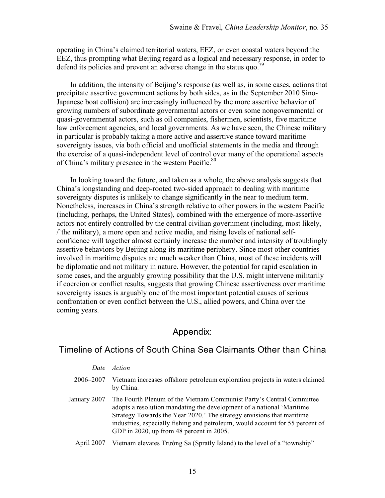operating in China's claimed territorial waters, EEZ, or even coastal waters beyond the EEZ, thus prompting what Beijing regard as a logical and necessary response, in order to defend its policies and prevent an adverse change in the status quo.<sup>79</sup>

In addition, the intensity of Beijing's response (as well as, in some cases, actions that precipitate assertive government actions by both sides, as in the September 2010 Sino-Japanese boat collision) are increasingly influenced by the more assertive behavior of growing numbers of subordinate governmental actors or even some nongovernmental or quasi-governmental actors, such as oil companies, fishermen, scientists, five maritime law enforcement agencies, and local governments. As we have seen, the Chinese military in particular is probably taking a more active and assertive stance toward maritime sovereignty issues, via both official and unofficial statements in the media and through the exercise of a quasi-independent level of control over many of the operational aspects of China's military presence in the western Pacific.<sup>80</sup>

In looking toward the future, and taken as a whole, the above analysis suggests that China's longstanding and deep-rooted two-sided approach to dealing with maritime sovereignty disputes is unlikely to change significantly in the near to medium term. Nonetheless, increases in China's strength relative to other powers in the western Pacific (including, perhaps, the United States), combined with the emergence of more-assertive actors not entirely controlled by the central civilian government (including, most likely, /`the military), a more open and active media, and rising levels of national selfconfidence will together almost certainly increase the number and intensity of troublingly assertive behaviors by Beijing along its maritime periphery. Since most other countries involved in maritime disputes are much weaker than China, most of these incidents will be diplomatic and not military in nature. However, the potential for rapid escalation in some cases, and the arguably growing possibility that the U.S. might intervene militarily if coercion or conflict results, suggests that growing Chinese assertiveness over maritime sovereignty issues is arguably one of the most important potential causes of serious confrontation or even conflict between the U.S., allied powers, and China over the coming years.

## Appendix:

## Timeline of Actions of South China Sea Claimants Other than China

| Date | Action |
|------|--------|
|------|--------|

- 2006–2007 Vietnam increases offshore petroleum exploration projects in waters claimed by China.
- January 2007 The Fourth Plenum of the Vietnam Communist Party's Central Committee adopts a resolution mandating the development of a national 'Maritime Strategy Towards the Year 2020.' The strategy envisions that maritime industries, especially fishing and petroleum, would account for 55 percent of GDP in 2020, up from 48 percent in 2005.
	- April 2007 Vietnam elevates Trường Sa (Spratly Island) to the level of a "township"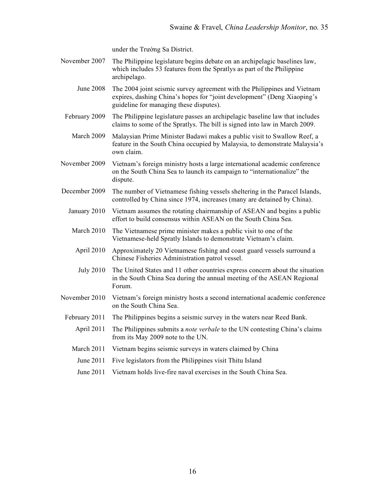under the Trường Sa District.

- November 2007 The Philippine legislature begins debate on an archipelagic baselines law, which includes 53 features from the Spratlys as part of the Philippine archipelago.
	- June 2008 The 2004 joint seismic survey agreement with the Philippines and Vietnam expires, dashing China's hopes for "joint development" (Deng Xiaoping's guideline for managing these disputes).
	- February 2009 The Philippine legislature passes an archipelagic baseline law that includes claims to some of the Spratlys. The bill is signed into law in March 2009.
		- March 2009 Malaysian Prime Minister Badawi makes a public visit to Swallow Reef, a feature in the South China occupied by Malaysia, to demonstrate Malaysia's own claim.
- November 2009 Vietnam's foreign ministry hosts a large international academic conference on the South China Sea to launch its campaign to "internationalize" the dispute.
- December 2009 The number of Vietnamese fishing vessels sheltering in the Paracel Islands, controlled by China since 1974, increases (many are detained by China).
	- January 2010 Vietnam assumes the rotating chairmanship of ASEAN and begins a public effort to build consensus within ASEAN on the South China Sea.
	- March 2010 The Vietnamese prime minister makes a public visit to one of the Vietnamese-held Spratly Islands to demonstrate Vietnam's claim.
	- April 2010 Approximately 20 Vietnamese fishing and coast guard vessels surround a Chinese Fisheries Administration patrol vessel.
	- July 2010 The United States and 11 other countries express concern about the situation in the South China Sea during the annual meeting of the ASEAN Regional Forum.
- November 2010 Vietnam's foreign ministry hosts a second international academic conference on the South China Sea.
- February 2011 The Philippines begins a seismic survey in the waters near Reed Bank.
	- April 2011 The Philippines submits a *note verbale* to the UN contesting China's claims from its May 2009 note to the UN.
	- March 2011 Vietnam begins seismic surveys in waters claimed by China
		- June 2011 Five legislators from the Philippines visit Thitu Island
		- June 2011 Vietnam holds live-fire naval exercises in the South China Sea.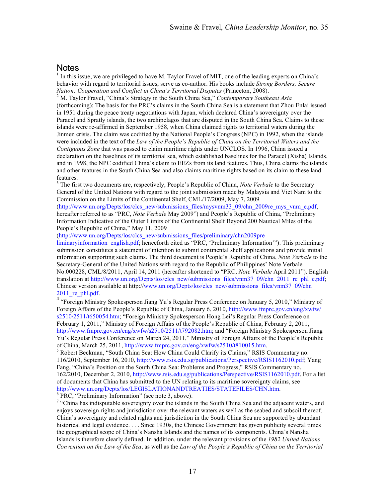### **Notes**

 $\overline{a}$ 

<sup>1</sup> In this issue, we are privileged to have M. Taylor Fravel of MIT, one of the leading experts on China's behavior with regard to territorial issues, serve as co-author. His books include *Strong Borders, Secure Nation: Cooperation and Conflict in China's Territorial Disputes* (Princeton, 2008). <sup>2</sup> M. Taylor Fravel, "China's Strategy in the South China Sea," *Contemporary Southeast Asia*

(forthcoming): The basis for the PRC's claims in the South China Sea is a statement that Zhou Enlai issued in 1951 during the peace treaty negotiations with Japan, which declared China's sovereignty over the Paracel and Spratly islands, the two archipelagos that are disputed in the South China Sea. Claims to these islands were re-affirmed in September 1958, when China claimed rights to territorial waters during the Jinmen crisis. The claim was codified by the National People's Congress (NPC) in 1992, when the islands were included in the text of the *Law of the People's Republic of China on the Territorial Waters and the Contiguous Zone* that was passed to claim maritime rights under UNCLOS*.* In 1996, China issued a declaration on the baselines of its territorial sea, which established baselines for the Paracel (Xisha) Islands, and in 1998, the NPC codified China's claim to EEZs from its land features. Thus, China claims the islands and other features in the South China Sea and also claims maritime rights based on its claim to these land features.

<sup>3</sup> The first two documents are, respectively, People's Republic of China, *Note Verbale* to the Secretary General of the United Nations with regard to the joint submission made by Malaysia and Viet Nam to the Commission on the Limits of the Continental Shelf, CML/17/2009, May 7, 2009

(http://www.un.org/Depts/los/clcs\_new/submissions\_files/mysvnm33\_09/chn\_2009re\_mys\_vnm\_e.pdf, hereafter referred to as "PRC, *Note Verbale* May 2009") and People's Republic of China, "Preliminary Information Indicative of the Outer Limits of the Continental Shelf Beyond 200 Nautical Miles of the People's Republic of China," May 11, 2009

(http://www.un.org/Depts/los/clcs\_new/submissions\_files/preliminary/chn2009pre

liminaryinformation english.pdf; henceforth cited as "PRC, 'Preliminary Information'"). This preliminary submission constitutes a statement of intention to submit continental shelf applications and provide initial information supporting such claims. The third document is People's Republic of China, *Note Verbale* to the Secretary-General of the United Nations with regard to the Republic of Philippines' Note Verbale No.000228, CML/8/2011, April 14, 2011 (hereafter shortened to "PRC, *Note Verbale* April 2011"). English translation at http://www.un.org/Depts/los/clcs\_new/submissions\_files/vnm37\_09/chn\_2011\_re\_phl\_e.pdf; Chinese version available at http://www.un.org/Depts/los/clcs\_new/submissions\_files/vnm37\_09/chn\_

2011\_re\_phl.pdf. <sup>4</sup> "Foreign Ministry Spokesperson Jiang Yu's Regular Press Conference on January 5, 2010," Ministry of Foreign Affairs of the People's Republic of China, January 6, 2010, http://www.fmprc.gov.cn/eng/xwfw/ s2510/2511/t650054.htm; "Foreign Ministry Spokesperson Hong Lei's Regular Press Conference on February 1, 2011," Ministry of Foreign Affairs of the People's Republic of China, February 2, 2011, http://www.fmprc.gov.cn/eng/xwfw/s2510/2511/t792082.htm; and "Foreign Ministry Spokesperson Jiang Yu's Regular Press Conference on March 24, 2011," Ministry of Foreign Affairs of the People's Republic of China, March 25, 2011, http://www.fmprc.gov.cn/eng/xwfw/s2510/t810015.htm.<br><sup>5</sup> Robert Beckman, "South China Sea: How China Could Clarify its Claims," RSIS Commentary no.

116/2010, September 16, 2010, http://www.rsis.edu.sg/publications/Perspective/RSIS1162010.pdf; Yang Fang, "China's Position on the South China Sea: Problems and Progress," RSIS Commentary no. 162/2010, December 2, 2010, http://www.rsis.edu.sg/publications/Perspective/RSIS1162010.pdf. For a list of documents that China has submitted to the UN relating to its maritime sovereignty claims, see http://www.un.org/Depts/los/LEGISLATIONANDTREATIES/STATEFILES/CHN.htm. <sup>6</sup> PRC, "Preliminary Information" (see note 3, above).

 $\frac{7}{1}$  "China has indisputable sovereignty over the islands in the South China Sea and the adjacent waters, and enjoys sovereign rights and jurisdiction over the relevant waters as well as the seabed and subsoil thereof. China's sovereignty and related rights and jurisdiction in the South China Sea are supported by abundant historical and legal evidence. . . . Since 1930s, the Chinese Government has given publicity several times the geographical scope of China's Nansha Islands and the names of its components. China's Nansha Islands is therefore clearly defined. In addition, under the relevant provisions of the *1982 United Nations Convention on the Law of the Sea*, as well as the *Law of the People's Republic of China on the Territorial*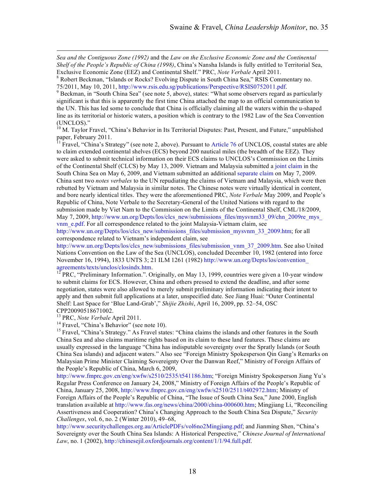*Sea and the Contiguous Zone (1992)* and the *Law on the Exclusive Economic Zone and the Continental Shelf of the People's Republic of China (1998)*, China's Nansha Islands is fully entitled to Territorial Sea,

 $\frac{9}{9}$ Beckman, in "South China Sea" (see note 5, above), states: "What some observers regard as particularly significant is that this is apparently the first time China attached the map to an official communication to the UN. This has led some to conclude that China is officially claiming all the waters within the u-shaped line as its territorial or historic waters, a position which is contrary to the 1982 Law of the Sea Convention (UNCLOS)."

<sup>10</sup> M. Taylor Fravel, "China's Behavior in Its Territorial Disputes: Past, Present, and Future," unpublished paper, February 2011.<br><sup>11</sup> Fravel, "China's Strategy" (see note 2, above). Pursuant to Article 76 of UNCLOS, coastal states are able

to claim extended continental shelves (ECS) beyond 200 nautical miles (the breadth of the EEZ). They were asked to submit technical information on their ECS claims to UNCLOS's Commission on the Limits of the Continental Shelf (CLCS) by May 13, 2009. Vietnam and Malaysia submitted a joint claim in the South China Sea on May 6, 2009, and Vietnam submitted an additional separate claim on May 7, 2009. China sent two *notes verbales* to the UN repudiating the claims of Vietnam and Malaysia, which were then rebutted by Vietnam and Malaysia in similar notes. The Chinese notes were virtually identical in content, and bore nearly identical titles. They were the aforementioned PRC, *Note Verbale* May 2009, and People's Republic of China, Note Verbale to the Secretary-General of the United Nations with regard to the submission made by Viet Nam to the Commission on the Limits of the Continental Shelf, CML/18/2009, May 7, 2009, http://www.un.org/Depts/los/clcs\_new/submissions\_files/mysvnm33\_09/chn\_2009re\_mys vnm\_e.pdf. For all correspondence related to the joint Malaysia-Vietnam claim, see

http://www.un.org/Depts/los/clcs\_new/submissions\_files/submission\_mysvnm\_33\_2009.htm; for all correspondence related to Vietnam's independent claim, see

http://www.un.org/Depts/los/clcs\_new/submissions\_files/submission\_vnm\_37\_2009.htm. See also United Nations Convention on the Law of the Sea (UNCLOS), concluded December 10, 1982 (entered into force November 16, 1994), 1833 UNTS 3; 21 ILM 1261 (1982) http://www.un.org/Depts/los/convention\_ agreements/texts/unclos/closindx.htm.<br><sup>12</sup> PRC, "Preliminary Information.". Originally, on May 13, 1999, countries were given a 10-year window

to submit claims for ECS. However, China and others pressed to extend the deadline, and after some negotiation, states were also allowed to merely submit preliminary information indicating their intent to apply and then submit full applications at a later, unspecified date. See Jiang Huai: "Outer Continental Shelf: Last Space for 'Blue Land-Grab'," *Shijie Zhishi*, April 16, 2009, pp. 52–54, OSC

CPP20090518671002.<br><sup>13</sup> PRC, *Note Verbale* April 2011.

 $\overline{a}$ 

<sup>14</sup> Fravel, "China's Behavior" (see note 10).<br><sup>15</sup> Fravel, "China's Strategy." As Fravel states: "China claims the islands and other features in the South China Sea and also claims maritime rights based on its claim to these land features. These claims are usually expressed in the language "China has indisputable sovereignty over the Spratly Islands (or South China Sea islands) and adjacent waters." Also see "Foreign Ministry Spokesperson Qin Gang's Remarks on Malaysian Prime Minister Claiming Sovereignty Over the Danwan Reef," Ministry of Foreign Affairs of the People's Republic of China, March 6, 2009,

http://www.fmprc.gov.cn/eng/xwfw/s2510/2535/t541186.htm; "Foreign Ministry Spokesperson Jiang Yu's Regular Press Conference on January 24, 2008," Ministry of Foreign Affairs of the People's Republic of China, January 25, 2008, http://www.fmprc.gov.cn/eng/xwfw/s2510/2511/t402972.htm; Ministry of Foreign Affairs of the People's Republic of China, "The Issue of South China Sea," June 2000, English translation available at http://www.fas.org/news/china/2000/china-000600.htm; Mingjiang Li, "Reconciling Assertiveness and Cooperation? China's Changing Approach to the South China Sea Dispute," *Security Challenges*, vol. 6, no. 2 (Winter 2010), 49–68,

http://www.securitychallenges.org.au/ArticlePDFs/vol6no2Mingjiang.pdf; and Jianming Shen, "China's Sovereignty over the South China Sea Islands: A Historical Perspective," *Chinese Journal of International Law*, no. 1 (2002), http://chinesejil.oxfordjournals.org/content/1/1/94.full.pdf.

Exclusive Economic Zone (EEZ) and Continental Shelf." PRC, *Note Verbale* April 2011.<br><sup>8</sup> Robert Beckman, "Islands or Rocks? Evolving Dispute in South China Sea," RSIS Commentary no.<br>75/2011, May 10, 2011, http://www.rsis.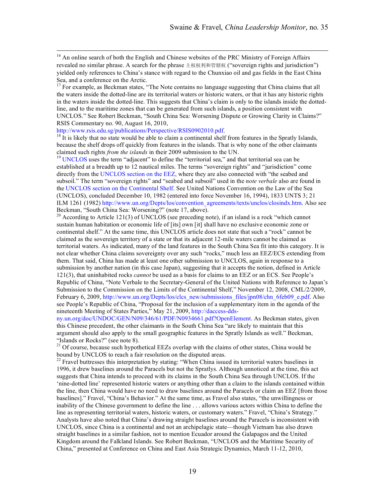<sup>16</sup> An online search of both the English and Chinese websites of the PRC Ministry of Foreign Affairs revealed no similar phrase. A search for the phrase 主权权利和管辖权 ("sovereign rights and jurisdiction") yielded only references to China's stance with regard to the Chunxiao oil and gas fields in the East China Sea, and a conference on the Arctic.<br><sup>17</sup> For example, as Beckman states, "The Note contains no language suggesting that China claims that all

the waters inside the dotted-line are its territorial waters or historic waters, or that it has any historic rights in the waters inside the dotted-line. This suggests that China's claim is only to the islands inside the dottedline, and to the maritime zones that can be generated from such islands, a position consistent with UNCLOS." See Robert Beckman, "South China Sea: Worsening Dispute or Growing Clarity in Claims?" RSIS Commentary no. 90, August 16, 2010,<br>http://www.rsis.edu.sg/publications/Perspective/RSIS0902010.pdf.

 $h<sup>18</sup>$  It is likely that no state would be able to claim a continental shelf from features in the Spratly Islands, because the shelf drops off quickly from features in the islands. That is why none of the other claimants claimed such rights *from the islands* in their 2009 submission to the UN.

<sup>19</sup> UNCLOS uses the term "adjacent" to define the "territorial sea," and that territorial sea can be established at a breadth up to 12 nautical miles. The terms "sovereign rights" and "jurisdiction" come directly from the UNCLOS section on the EEZ, where they are also connected with "the seabed and subsoil." The term "sovereign rights" and "seabed and subsoil" used in the *note verbale* also are found in the UNCLOS section on the Continental Shelf. See United Nations Convention on the Law of the Sea (UNCLOS), concluded December 10, 1982 (entered into force November 16, 1994), 1833 UNTS 3; 21 ILM 1261 (1982) http://www.un.org/Depts/los/convention\_agreements/texts/unclos/closindx.htm. Also see Beckman, "South China Sea: Worsening?" (note 17, above).<br><sup>20</sup> According to Article 121(3) of UNCLOS (see preceding note), if an island is a rock "which cannot"

sustain human habitation or economic life of [its] own [it] shall have no exclusive economic zone or continental shelf." At the same time, this UNCLOS article does not state that such a "rock" cannot be claimed as the sovereign territory of a state or that its adjacent 12-mile waters cannot be claimed as territorial waters. As indicated, many of the land features in the South China Sea fit into this category. It is not clear whether China claims sovereignty over any such "rocks," much less an EEZ/ECS extending from them. That said, China has made at least one other submission to UNCLOS, again in response to a submission by another nation (in this case Japan), suggesting that it accepts the notion, defined in Article 121(3), that uninhabited rocks *cannot* be used as a basis for claims to an EEZ or an ECS. See People's Republic of China, "Note Verbale to the Secretary-General of the United Nations with Reference to Japan's Submission to the Commission on the Limits of the Continental Shelf," November 12, 2008, CML/2/2009, February 6, 2009, http://www.un.org/Depts/los/clcs\_new/submissions\_files/jpn08/chn\_6feb09\_e.pdf. Also see People's Republic of China, "Proposal for the inclusion of a supplementary item in the agenda of the nineteenth Meeting of States Parties," May 21, 2009, http://daccess-dds-

ny.un.org/doc/UNDOC/GEN/N09/346/61/PDF/N0934661.pdf?OpenElement. As Beckman states, given this Chinese precedent, the other claimants in the South China Sea "are likely to maintain that this argument should also apply to the small geographic features in the Spratly Islands as well." Beckman, "Islands or Rocks?" (see note 8).

<sup>21</sup> Of course, because such hypothetical EEZs overlap with the claims of other states, China would be

bound by UNCLOS to reach a fair resolution on the disputed areas.<br><sup>22</sup> Fravel buttresses this interpretation by stating: "When China issued its territorial waters baselines in 1996, it drew baselines around the Paracels but not the Spratlys. Although unnoticed at the time, this act suggests that China intends to proceed with its claims in the South China Sea through UNCLOS. If the 'nine-dotted line' represented historic waters or anything other than a claim to the islands contained within the line, then China would have no need to draw baselines around the Paracels or claim an EEZ [from those baselines]." Fravel, "China's Behavior." At the same time, as Fravel also states, "the unwillingness or inability of the Chinese government to define the line . . . allows various actors within China to define the line as representing territorial waters, historic waters, or customary waters." Fravel, "China's Strategy." Analysts have also noted that China's drawing straight baselines around the Paracels is inconsistent with UNCLOS, since China is a continental and not an archipelagic state—though Vietnam has also drawn straight baselines in a similar fashion, not to mention Ecuador around the Galapagos and the United Kingdom around the Falkland Islands. See Robert Beckman, "UNCLOS and the Maritime Security of China," presented at Conference on China and East Asia Strategic Dynamics, March 11-12, 2010,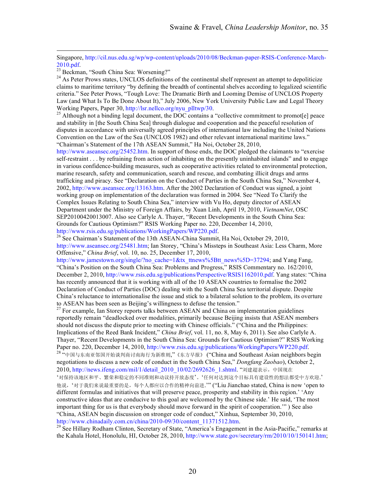Singapore, http://cil.nus.edu.sg/wp/wp-content/uploads/2010/08/Beckman-paper-RSIS-Conference-March-2010.pdf.<br><sup>23</sup> Beckman, "South China Sea: Worsening?"<br><sup>24</sup> As Peter Prows states, UNCLOS definitions of the continental shelf represent an attempt to depoliticize

claims to maritime territory "by defining the breadth of continental shelves according to legalized scientific criteria." See Peter Prows, "Tough Love: The Dramatic Birth and Looming Demise of UNCLOS Property Law (and What Is To Be Done About It)," July 2006, New York University Public Law and Legal Theory

Working Papers, Paper 30, http://lsr.nellco.org/nyu\_plltwp/30.<br><sup>25</sup> Although not a binding legal document, the DOC contains a "collective commitment to promot[e] peace and stability in [the South China Sea] through dialogue and cooperation and the peaceful resolution of disputes in accordance with universally agreed principles of international law including the United Nations Convention on the Law of the Sea (UNCLOS 1982) and other relevant international maritime laws." "Chairman's Statement of the 17th ASEAN Summit," Ha Noi, October 28, 2010,

http://www.aseansec.org/25452.htm. In support of those ends, the DOC pledged the claimants to "exercise self-restraint . . . by refraining from action of inhabiting on the presently uninhabited islands" and to engage in various confidence-building measures, such as cooperative activities related to environmental protection, marine research, safety and communication, search and rescue, and combating illicit drugs and arms trafficking and piracy. See "Declaration on the Conduct of Parties in the South China Sea," November 4, 2002, http://www.aseansec.org/13163.htm. After the 2002 Declaration of Conduct was signed, a joint working group on implementation of the declaration was formed in 2004. See "Need To Clarify the Complex Issues Relating to South China Sea," interview with Vu Ho, deputy director of ASEAN Department under the Ministry of Foreign Affairs, by Xuan Linh, April 19, 2010, *VietnamNet*, OSC SEP20100420013007. Also see Carlyle A. Thayer, "Recent Developments in the South China Sea: Grounds for Cautious Optimism?" RSIS Working Paper no. 220, December 14, 2010,

http://www.rsis.edu.sg/publications/WorkingPapers/WP220.pdf.<br><sup>26</sup> See Chairman's Statement of the 13th ASEAN-China Summit, Ha Noi, October 29, 2010, http://www.aseansec.org/25481.htm; Ian Storey, "China's Missteps in Southeast Asia: Less Charm, More Offensive," *China Brief*, vol. 10, no. 25, December 17, 2010,

http://www.jamestown.org/single/?no\_cache=1&tx\_ttnews%5Btt\_news%5D=37294; and Yang Fang, "China's Position on the South China Sea: Problems and Progress," RSIS Commentary no. 162/2010, December 2, 2010, http://www.rsis.edu.sg/publications/Perspective/RSIS1162010.pdf. Yang states: "China has recently announced that it is working with all of the 10 ASEAN countries to formalise the 2002 Declaration of Conduct of Parties (DOC) dealing with the South China Sea territorial dispute. Despite China's reluctance to internationalise the issue and stick to a bilateral solution to the problem, its overture to ASEAN has been seen as Beijing's willingness to defuse the tension."<br><sup>27</sup> For example, Ian Storey reports talks between ASEAN and China on implementation guidelines

reportedly remain "deadlocked over modalities, primarily because Beijing insists that ASEAN members should not discuss the dispute prior to meeting with Chinese officials." ("China and the Philippines: Implications of the Reed Bank Incident," *China Brief*, vol. 11, no. 8, May 6, 2011). See also Carlyle A. Thayer, "Recent Developments in the South China Sea: Grounds for Cautious Optimism?" RSIS Working Paper no. 220, December 14, 2010, http://www.rsis.edu.sg/publications/WorkingPapers/WP220.pdf.<br><sup>28</sup> "中国与东南亚邻国开始谈判商讨南海行为新准则,"《东方早报》 ("China and Southeast Asian neighbors begin

negotiations to discuss a new code of conduct in the South China Sea," *Dongfang Zaobao*), October 2, 2010, http://news.ifeng.com/mil/1/detail 2010 10/02/2692626 1.shtml. "刘建超表示,中国现在

'对保持该地区和平、繁荣和稳定的不同准则和动议持开放态度'。'任何对达到这个目标具有建设性的想法都受中方欢迎.' 他说,'对于我们来说最重要的是,每个人都应以合作的精神向前进.'" ("Liu Jianchao stated, China is now 'open to different formulas and initiatives that will preserve peace, prosperity and stability in this region.' 'Any constructive ideas that are conducive to this goal are welcomed by the Chinese side.' He said, 'The most important thing for us is that everybody should move forward in the spirit of cooperation.'" ) See also "China, ASEAN begin discussion on stronger code of conduct," Xinhua, September 30, 2010,

http://www.chinadaily.com.cn/china/2010-09/30/content\_11371512.htm.<br><sup>29</sup> See Hillary Rodham Clinton, Secretary of State, "America's Engagement in the Asia-Pacific," remarks at the Kahala Hotel, Honolulu, HI, October 28, 2010, http://www.state.gov/secretary/rm/2010/10/150141.htm;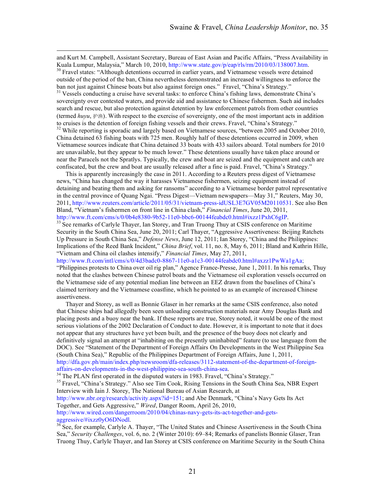and Kurt M. Campbell, Assistant Secretary, Bureau of East Asian and Pacific Affairs, "Press Availability in Kuala Lumpur, Malaysia," March 10, 2010, http://www.state.gov/p/eap/rls/rm/2010/03/138007.htm.<br><sup>30</sup> Fravel states: "Although detentions occurred in earlier years, and Vietnamese vessels were detained

outside of the period of the ban, China nevertheless demonstrated an increased willingness to enforce the ban not just against Chinese boats but also against foreign ones." Fravel, "China's Strategy." Vessels conducting a cruise have several tasks: to enforce China's fishing laws, demonstrate China's

sovereignty over contested waters, and provide aid and assistance to Chinese fishermen. Such aid includes search and rescue, but also protection against detention by law enforcement patrols from other countries (termed *huyu*, 护渔). With respect to the exercise of sovereignty, one of the most important acts in addition to cruises is the detention of foreign fishing vessels and their crews. Fravel, "China's Strategy." While reporting is sporadic and largely based on Vietnamese sources, "between 2005 and October 2010,

China detained 63 fishing boats with 725 men. Roughly half of these detentions occurred in 2009, when Vietnamese sources indicate that China detained 33 boats with 433 sailors aboard. Total numbers for 2010 are unavailable, but they appear to be much lower." These detentions usually have taken place around or near the Paracels not the Spratlys. Typically, the crew and boat are seized and the equipment and catch are confiscated, but the crew and boat are usually released after a fine is paid. Fravel, "China's Strategy."

This is apparently increasingly the case in 2011. According to a Reuters press digest of Vietnamese news, "China has changed the way it harasses Vietnamese fishermen, seizing equipment instead of detaining and beating them and asking for ransoms" according to a Vietnamese border patrol representative in the central province of Quang Ngai. "Press Digest—Vietnam newspapers—May 31," Reuters, May 30, 2011, http://www.reuters.com/article/2011/05/31/vietnam-press-idUSL3E7GV05M20110531. See also Ben Bland, "Vietnam's fishermen on front line in China clash," *Financial Times*, June 20, 2011,

http://www.ft.com/cms/s/0/0b4e8380-9b52-11e0-bbc6-00144feabdc0.html#ixzz1PxhC6gIP.<br><sup>33</sup> See remarks of Carlyle Thayer, Ian Storey, and Tran Truong Thuy at CSIS conference on Maritime Security in the South China Sea, June 20, 2011; Carl Thayer, "Aggressive Assertiveness: Beijing Ratchets Up Pressure in South China Sea," *Defense News*, June 12, 2011; Ian Storey, "China and the Philippines: Implications of the Reed Bank Incident," *China Brief*, vol. 11, no. 8, May 6, 2011; Bland and Kathrin Hille, "Vietnam and China oil clashes intensify," *Financial Times*, May 27, 2011,

http://www.ft.com/intl/cms/s/0/4d3badc0-8867-11e0-a1c3-00144feabdc0.html#axzz1PwWa1gAa;

"Philippines protests to China over oil rig plan," Agence France-Presse, June 1, 2011. In his remarks, Thuy noted that the clashes between Chinese patrol boats and the Vietnamese oil exploration vessels occurred on the Vietnamese side of any potential median line between an EEZ drawn from the baselines of China's claimed territory and the Vietnamese coastline, which he pointed to as an example of increased Chinese assertiveness.

Thayer and Storey, as well as Bonnie Glaser in her remarks at the same CSIS conference, also noted that Chinese ships had allegedly been seen unloading construction materials near Amy Douglas Bank and placing posts and a buoy near the bank. If these reports are true, Storey noted, it would be one of the most serious violations of the 2002 Declaration of Conduct to date. However, it is important to note that it does not appear that any structures have yet been built, and the presence of the buoy does not clearly and definitively signal an attempt at "inhabiting on the presently uninhabited" feature (to use language from the DOC). See "Statement of the Department of Foreign Affairs On Developments in the West Philippine Sea (South China Sea)," Republic of the Philippines Department of Foreign Affairs, June 1, 2011, http://dfa.gov.ph/main/index.php/newsroom/dfa-releases/3112-statement-of-the-department-of-foreign-

affairs-on-developments-in-the-west-philippine-sea-south-china-sea.<br><sup>34</sup> The PLAN first operated in the disputed waters in 1983. Fravel, "China's Strategy."<br><sup>35</sup> Fravel, "China's Strategy." Also see Tim Cook, Rising Tensio Interview with Iain J. Storey, The National Bureau of Asian Research, at

http://www.nbr.org/research/activity.aspx?id=151; and Abe Denmark, "China's Navy Gets Its Act Together, and Gets Aggressive," *Wired*, Danger Room, April 26, 2010,

http://www.wired.com/dangerroom/2010/04/chinas-navy-gets-its-act-together-and-getsaggressive/#ixzz0yO6DNodl.<br><sup>36</sup> See, for example, Carlyle A. Thayer, "The United States and Chinese Assertiveness in the South China

Sea," *Security Challenges*, vol. 6, no. 2 (Winter 2010): 69–84; Remarks of panelists Bonnie Glaser, Tran Truong Thuy, Carlyle Thayer, and Ian Storey at CSIS conference on Maritime Security in the South China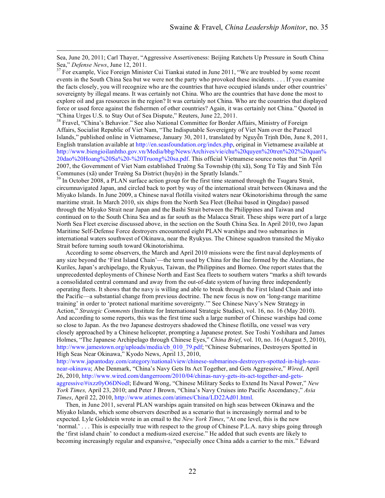Sea, June 20, 2011; Carl Thayer, "Aggressive Assertiveness: Beijing Ratchets Up Pressure in South China Sea," *Defense News*, June 12, 2011.<br><sup>37</sup> For example, Vice Foreign Minister Cui Tiankai stated in June 2011, "We are troubled by some recent

events in the South China Sea but we were not the party who provoked these incidents. . . . If you examine the facts closely, you will recognize who are the countries that have occupied islands under other countries' sovereignty by illegal means. It was certainly not China. Who are the countries that have done the most to explore oil and gas resources in the region? It was certainly not China. Who are the countries that displayed force or used force against the fishermen of other countries? Again, it was certainly not China." Quoted in "China Urges U.S. to Stay Out of Sea Dispute," Reuters, June 22, 2011.

<sup>38</sup> Fravel, "China's Behavior." See also National Committee for Border Affairs, Ministry of Foreign Affairs, Socialist Republic of Viet Nam, "The Indisputable Sovereignty of Viet Nam over the Paracel Islands," published online in Vietnamese, January 30, 2011, translated by Nguyễn Trịnh Đôn, June 8, 2011, English translation available at http://en.seasfoundation.org/index.php, original in Vietnamese available at http://www.biengioilanhtho.gov.vn/Media/bbg/News/Archives/vie/chu%20quyen%20tren%202%20quan% 20dao%20Hoang%20Sa%20-%20Truong%20sa.pdf. This official Vietnamese source notes that "in April 2007, the Government of Viet Nam established Trường Sa Township (thị xã), Song Tử Tây and Sinh Tồn Communes (xã) under Trường Sa District (huyện) in the Spratly Islands." <sup>39</sup> In October 2008, a PLAN surface action group for the first time steamed through the Tsugaru Strait,

circumnavigated Japan, and circled back to port by way of the international strait between Okinawa and the Miyako Islands. In June 2009, a Chinese naval flotilla visited waters near Okinotorishima through the same maritime strait. In March 2010, six ships from the North Sea Fleet (Beihai based in Qingdao) passed through the Miyako Strait near Japan and the Bashi Strait between the Philippines and Taiwan and continued on to the South China Sea and as far south as the Malacca Strait. These ships were part of a large North Sea Fleet exercise discussed above, in the section on the South China Sea. In April 2010, two Japan Maritime Self-Defense Force destroyers encountered eight PLAN warships and two submarines in international waters southwest of Okinawa, near the Ryukyus. The Chinese squadron transited the Miyako Strait before turning south toward Okinotorishima.

According to some observers, the March and April 2010 missions were the first naval deployments of any size beyond the 'First Island Chain'—the term used by China for the line formed by the Aleutians, the Kuriles, Japan's archipelago, the Ryukyus, Taiwan, the Philippines and Borneo. One report states that the unprecedented deployments of Chinese North and East Sea fleets to southern waters "marks a shift towards a consolidated central command and away from the out-of-date system of having three independently operating fleets. It shows that the navy is willing and able to break through the First Island Chain and into the Pacific—a substantial change from previous doctrine. The new focus is now on 'long-range maritime training' in order to 'protect national maritime sovereignty.'" See Chinese Navy's New Strategy in Action," *Strategic Comments* (Institute for International Strategic Studies), vol. 16, no. 16 (May 2010). And according to some reports, this was the first time such a large number of Chinese warships had come so close to Japan. As the two Japanese destroyers shadowed the Chinese flotilla, one vessel was very closely approached by a Chinese helicopter, prompting a Japanese protest. See Toshi Yoshihara and James Holmes, "The Japanese Archipelago through Chinese Eyes," *China Brief*, vol. 10, no. 16 (August 5, 2010), http://www.jamestown.org/uploads/media/cb\_010\_79.pdf; "Chinese Submarines, Destroyers Spotted in High Seas Near Okinawa," Kyodo News, April 13, 2010,

http://www.japantoday.com/category/national/view/chinese-submarines-destroyers-spotted-in-high-seasnear-okinawa; Abe Denmark, "China's Navy Gets Its Act Together, and Gets Aggressive," *Wired*, April 26, 2010, http://www.wired.com/dangerroom/2010/04/chinas-navy-gets-its-act-together-and-getsaggressive/#ixzz0yO6DNodl; Edward Wong, "Chinese Military Seeks to Extend Its Naval Power," *New York Times,* April 23, 2010; and Peter J Brown, "China's Navy Cruises into Pacific Ascendancy," *Asia Times*, April 22, 2010, http://www.atimes.com/atimes/China/LD22Ad01.html.

Then, in June 2011, several PLAN warships again transited on high seas between Okinawa and the Miyako Islands, which some observers described as a scenario that is increasingly normal and to be expected. Lyle Goldstein wrote in an email to the *New York Times*, "At one level, this is the new 'normal.' . . . This is especially true with respect to the group of Chinese P.L.A. navy ships going through the 'first island chain' to conduct a medium-sized exercise." He added that such events are likely to becoming increasingly regular and expansive, "especially once China adds a carrier to the mix." Edward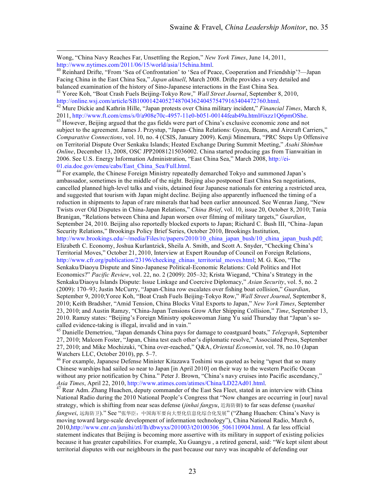Wong, "China Navy Reaches Far, Unsettling the Region," *New York Times*, June 14, 2011, http://www.nytimes.com/2011/06/15/world/asia/15china.html.<br><sup>40</sup> Reinhard Drifte, "From 'Sea of Confrontation' to 'Sea of Peace, Cooperation and Friendship'?—Japan

Facing China in the East China Sea," *Japan aktuell*, March 2008. Drifte provides a very detailed and

balanced examination of the history of Sino-Japanese interactions in the East China Sea.<br><sup>41</sup> Yoree Koh, "Boat Crash Fuels Beijing-Tokyo Row," *Wall Street Journal*, September 8, 2010,<br>http://online.wsj.com/article/SB10001

<sup>42</sup> Mure Dickie and Kathrin Hille, "Japan protests over China military incident," *Financial Times*, March 8,<br>2011, http://www.ft.com/cms/s/0/a908e70c-4957-11e0-b051-00144feab49a.html#ixzz1O6pmOShe.

 $^{43}$  However, Beijing argued that the gas fields were part of China's exclusive economic zone and not subject to the agreement. James J. Przystup, "Japan–China Relations: Gyoza, Beans, and Aircraft Carriers," *Comparative Connections*, vol. 10, no. 4 (CSIS, January 2009). Kenji Minemura, "PRC Steps Up Offensive on Territorial Dispute Over Senkaku Islands; Heated Exchange During Summit Meeting," *Asahi Shimbun Online*, December 13, 2008, OSC JPP20081215036002. China started producing gas from Tianwaitian in 2006. See U.S. Energy Information Administration, "East China Sea," March 2008, http://ei-

01.eia.doe.gov/emeu/cabs/East\_China\_Sea/Full.html.<br><sup>44</sup> For example, the Chinese Foreign Ministry repeatedly demarched Tokyo and summoned Japan's ambassador, sometimes in the middle of the night. Beijing also postponed East China Sea negotiations, cancelled planned high-level talks and visits, detained four Japanese nationals for entering a restricted area, and suggested that tourism with Japan might decline. Beijing also apparently influenced the timing of a reduction in shipments to Japan of rare minerals that had been earlier announced. See Wenran Jiang, "New Twists over Old Disputes in China-Japan Relations," *China Brief*, vol. 10, issue 20, October 8, 2010; Tania Branigan, "Relations between China and Japan worsen over filming of military targets," *Guardian*, September 24, 2010. Beijing also reportedly blocked exports to Japan; Richard C. Bush III, "China–Japan Security Relations," Brookings Policy Brief Series, October 2010, Brookings Institution, http://www.brookings.edu/~/media/Files/rc/papers/2010/10 china japan\_bush/10 china\_japan\_bush.pdf; Elizabeth C. Economy, Joshua Kurlantzick, Sheila A. Smith, and Scott A. Snyder, "Checking China's Territorial Moves," October 21, 2010, Interview at Expert Roundup of Council on Foreign Relations, http://www.cfr.org/publication/23196/checking\_chinas\_territorial\_moves.html; M. G. Koo, "The Senkaku/Diaoyu Dispute and Sino-Japanese Political-Economic Relations: Cold Politics and Hot Economics?" *Pacific Review*, vol. 22, no. 2 (2009): 205–32; Krista Wiegand, "China's Strategy in the Senkaku/Diaoyu Islands Dispute: Issue Linkage and Coercive Diplomacy," *Asian Security*, vol. 5, no. 2 (2009): 170–93; Justin McCurry, "Japan-China row escalates over fishing boat collision," *Guardian*, September 9, 2010;Yoree Koh, "Boat Crash Fuels Beijing-Tokyo Row," *Wall Street Journal*, September 8, 2010; Keith Bradsher, "Amid Tension, China Blocks Vital Exports to Japan," *New York Times*, September 23, 2010; and Austin Ramzy, "China-Japan Tensions Grow After Shipping Collision," *Time*, September 13, 2010. Ramzy states: "Beijing's Foreign Ministry spokeswoman Jiang Yu said Thursday that "Japan's so-

called evidence-taking is illegal, invalid and in vain." <sup>45</sup> Danielle Demetriou, "Japan demands China pays for damage to coastguard boats," *Telegraph*, September 27, 2010; Malcom Foster, "Japan, China test each other's diplomatic resolve," Associated Press, September 27, 2010; and Mike Mochizuki, "China over-reached," Q&A, *Oriental Economist*, vol. 78, no.10 (Japan Watchers LLC, October 2010), pp. 5–7.<br><sup>46</sup> For example, Japanese Defense Minister Kitazawa Toshimi was quoted as being "upset that so many

Chinese warships had sailed so near to Japan [in April 2010] on their way to the western Pacific Ocean without any prior notification by China." Peter J. Brown, "China's navy cruises into Pacific ascendancy," *Asia Times*, April 22, 2010, http://www.atimes.com/atimes/China/LD22Ad01.html.<br><sup>47</sup> Rear Adm. Zhang Huachen, deputy commander of the East Sea Fleet, stated in an interview with China

National Radio during the 2010 National People's Congress that "Now changes are occurring in [our] naval strategy, which is shifting from near seas defense (*jinhai fangyu*, 近海防御) to far seas defense (*yuanhai fangwei*, 远海防卫)." See "张华臣:中国海军要向大型化信息化综合化发展" ("Zhang Huachen: China's Navy is moving toward large-scale development of information technology"), China National Radio, March 6, 2010,http://www.cnr.cn/junshi/ztl/lh/dbwyxs/201003/t20100306\_506110904.html. A far less official statement indicates that Beijing is becoming more assertive with its military in support of existing policies because it has greater capabilities. For example, Xu Guangyu , a retired general, said: "We kept silent about territorial disputes with our neighbours in the past because our navy was incapable of defending our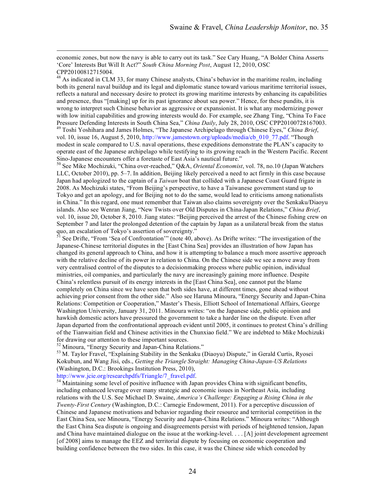economic zones, but now the navy is able to carry out its task." See Cary Huang, "A Bolder China Asserts 'Core' Interests But Will It Act?" *South China Morning Post*, August 12, 2010, OSC CPP20100812715004.

<sup>48</sup> As indicated in CLM 33, for many Chinese analysts, China's behavior in the maritime realm, including both its general naval buildup and its legal and diplomatic stance toward various maritime territorial issues, reflects a natural and necessary desire to protect its growing maritime interests by enhancing its capabilities and presence, thus "[making] up for its past ignorance about sea power." Hence, for these pundits, it is wrong to interpret such Chinese behavior as aggressive or expansionist. It is what any modernizing power with low initial capabilities and growing interests would do. For example, see Zhang Ting, "China To Face Pressure Defending Interests in South China Sea," *China Daily*, July 28, 2010, OSC CPP20100728167003. <sup>49</sup> Toshi Yoshihara and James Holmes, "The Japanese Archipelago through Chinese Eyes," *China Brief*,

vol. 10, issue 16, August 5, 2010, http://www.jamestown.org/uploads/media/cb\_010\_77.pdf. "Though modest in scale compared to U.S. naval operations, these expeditions demonstrate the PLAN's capacity to operate east of the Japanese archipelago while testifying to its growing reach in the Western Pacific. Recent Sino-Japanese encounters offer a foretaste of East Asia's nautical future." <sup>50</sup> See Mike Mochizuki, "China over-reached," Q&A, *Oriental Economist*, vol. 78, no.10 (Japan Watchers

LLC, October 2010), pp. 5–7. In addition, Beijing likely perceived a need to act firmly in this case because Japan had apologized to the captain of a *Taiwan* boat that collided with a Japanese Coast Guard frigate in 2008. As Mochizuki states, "From Beijing's perspective, to have a Taiwanese government stand up to Tokyo and get an apology, and for Beijing not to do the same, would lead to criticisms among nationalists in China." In this regard, one must remember that Taiwan also claims sovereignty over the Senkaku/Diaoyu islands. Also see Wenran Jiang, "New Twists over Old Disputes in China-Japan Relations," *China Brief*, vol. 10, issue 20, October 8, 2010. Jiang states: "Beijing perceived the arrest of the Chinese fishing crew on September 7 and later the prolonged detention of the captain by Japan as a unilateral break from the status quo, an escalation of Tokyo's assertion of sovereignty."<br><sup>51</sup> See Drifte, "From 'Sea of Confrontation'" (note 40, above). As Drifte writes: "The investigation of the

Japanese-Chinese territorial disputes in the [East China Sea] provides an illustration of how Japan has changed its general approach to China, and how it is attempting to balance a much more assertive approach with the relative decline of its power in relation to China. On the Chinese side we see a move away from very centralised control of the disputes to a decisionmaking process where public opinion, individual ministries, oil companies, and particularly the navy are increasingly gaining more influence. Despite China's relentless pursuit of its energy interests in the [East China Sea], one cannot put the blame completely on China since we have seen that both sides have, at different times, gone ahead without achieving prior consent from the other side." Also see Haruna Minoura, "Energy Security and Japan-China Relations: Competition or Cooperation," Master's Thesis, Elliott School of International Affairs, George Washington University, January 31, 2011. Minoura writes: "on the Japanese side, public opinion and hawkish domestic actors have pressured the government to take a harder line on the dispute. Even after Japan departed from the confrontational approach evident until 2005, it continues to protest China's drilling of the Tianwaitian field and Chinese activities in the Chunxiao field." We are indebted to Mike Mochizuki

for drawing our attention to these important sources.<br><sup>52</sup> Minoura, "Energy Security and Japan-China Relations."<br><sup>53</sup> M. Taylor Fravel, "Explaining Stability in the Senkaku (Diaoyu) Dispute," in Gerald Curtis, Ryosei Kokubun, and Wang Jisi, eds., *Getting the Triangle Straight: Managing China-Japan-US Relations*  (Washington, D.C.: Brookings Institution Press, 2010),

http://www.jcie.org/researchpdfs/Triangle/7\_fravel.pdf. <sup>54</sup> Maintaining some level of positive influence with Japan provides China with significant benefits, including enhanced leverage over many strategic and economic issues in Northeast Asia, including relations with the U.S. See Michael D. Swaine, *America's Challenge: Engaging a Rising China in the Twenty-First Century* (Washington, D.C.: Carnegie Endowment, 2011). For a perceptive discussion of Chinese and Japanese motivations and behavior regarding their resource and territorial competition in the East China Sea, see Minoura, "Energy Security and Japan-China Relations." Minoura writes: "Although the East China Sea dispute is ongoing and disagreements persist with periods of heightened tension, Japan and China have maintained dialogue on the issue at the working-level. . . . [A] joint development agreement [of 2008] aims to manage the EEZ and territorial dispute by focusing on economic cooperation and building confidence between the two sides. In this case, it was the Chinese side which conceded by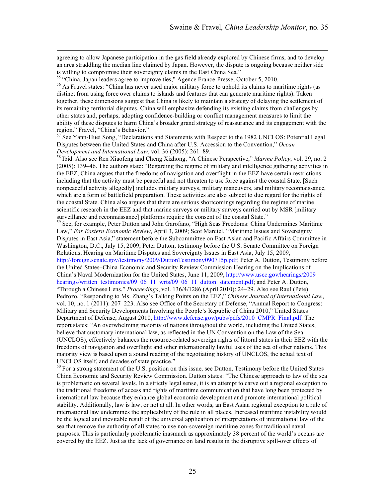agreeing to allow Japanese participation in the gas field already explored by Chinese firms, and to develop an area straddling the median line claimed by Japan. However, the dispute is ongoing because neither side is willing to compromise their sovereignty claims in the East China Sea."<br><sup>55</sup> "China, Japan leaders agree to improve ties," Agence France-Presse, October 5, 2010.<br><sup>56</sup> As Fravel states: "China has never used major militar

distinct from using force over claims to islands and features that can generate maritime rights). Taken together, these dimensions suggest that China is likely to maintain a strategy of delaying the settlement of its remaining territorial disputes. China will emphasize defending its existing claims from challenges by other states and, perhaps, adopting confidence-building or conflict management measures to limit the ability of these disputes to harm China's broader grand strategy of reassurance and its engagement with the region." Fravel, "China's Behavior."

<sup>57</sup> See Yann-Huei Song, "Declarations and Statements with Respect to the 1982 UNCLOS: Potential Legal Disputes between the United States and China after U.S. Accession to the Convention," *Ocean Development and International Law*, vol. 36 (2005): 261–89.<br><sup>58</sup> Ibid. Also see Ren Xiaofeng and Cheng Xizhong, "A Chinese Perspective," *Marine Policy*, vol. 29, no. 2

(2005): 139–46. The authors state: "Regarding the regime of military and intelligence gathering activities in the EEZ, China argues that the freedoms of navigation and overflight in the EEZ have certain restrictions including that the activity must be peaceful and not threaten to use force against the coastal State. [Such nonpeaceful activity allegedly] includes military surveys, military maneuvers, and military reconnaissance, which are a form of battlefield preparation. These activities are also subject to due regard for the rights of the coastal State. China also argues that there are serious shortcomings regarding the regime of marine scientific research in the EEZ and that marine surveys or military surveys carried out by MSR [military surveillance and reconnaissance] platforms require the consent of the coastal State."<br><sup>59</sup> See, for example, Peter Dutton and John Garofano, "High Seas Freedoms: China Undermines Maritime

Law," *Far Eastern Economic Review*, April 3, 2009; Scot Marciel, "Maritime Issues and Sovereignty Disputes in East Asia," statement before the Subcommittee on East Asian and Pacific Affairs Committee in Washington, D.C., July 15, 2009; Peter Dutton, testimony before the U.S. Senate Committee on Foreign Relations, Hearing on Maritime Disputes and Sovereignty Issues in East Asia, July 15, 2009, http://foreign.senate.gov/testimony/2009/DuttonTestimony090715p.pdf; Peter A. Dutton, Testimony before the United States–China Economic and Security Review Commission Hearing on the Implications of China's Naval Modernization for the United States, June 11, 2009, http://www.uscc.gov/hearings/2009 hearings/written\_testimonies/09\_06\_11\_wrts/09\_06\_11\_dutton\_statement.pdf; and Peter A. Dutton, "Through a Chinese Lens," *Proceedings*, vol. 136/4/1286 (April 2010): 24–29. Also see Raul (Pete) Pedrozo, "Responding to Ms. Zhang's Talking Points on the EEZ," *Chinese Journal of International Law*, vol. 10, no. 1 (2011): 207–223. Also see Office of the Secretary of Defense, "Annual Report to Congress: Military and Security Developments Involving the People's Republic of China 2010," United States Department of Defense, August 2010, http://www.defense.gov/pubs/pdfs/2010 CMPR\_Final.pdf. The report states: "An overwhelming majority of nations throughout the world, including the United States, believe that customary international law, as reflected in the UN Convention on the Law of the Sea (UNCLOS), effectively balances the resource-related sovereign rights of littoral states in their EEZ with the freedoms of navigation and overflight and other internationally lawful uses of the sea of other nations. This majority view is based upon a sound reading of the negotiating history of UNCLOS, the actual text of UNCLOS itself, and decades of state practice."<br><sup>60</sup> For a strong statement of the U.S. position on this issue, see Dutton, Testimony before the United States–

China Economic and Security Review Commission. Dutton states: "The Chinese approach to law of the sea is problematic on several levels. In a strictly legal sense, it is an attempt to carve out a regional exception to the traditional freedoms of access and rights of maritime communication that have long been protected by international law because they enhance global economic development and promote international political stability. Additionally, law is law, or not at all. In other words, an East Asian regional exception to a rule of international law undermines the applicability of the rule in all places. Increased maritime instability would be the logical and inevitable result of the universal application of interpretations of international law of the sea that remove the authority of all states to use non-sovereign maritime zones for traditional naval purposes. This is particularly problematic inasmuch as approximately 38 percent of the world's oceans are covered by the EEZ. Just as the lack of governance on land results in the disruptive spill-over effects of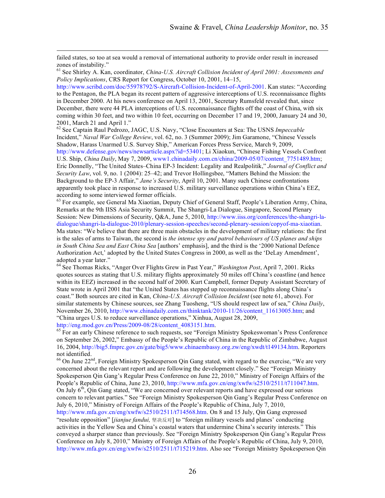failed states, so too at sea would a removal of international authority to provide order result in increased zones of instability."

<sup>61</sup> See Shirley A. Kan, coordinator, *China-U.S. Aircraft Collision Incident of April 2001: Assessments and Policy Implications*, CRS Report for Congress, October 10, 2001, 14–15,

http://www.scribd.com/doc/55978792/S-Aircraft-Collision-Incident-of-April-2001. Kan states: "According to the Pentagon, the PLA began its recent pattern of aggressive interceptions of U.S. reconnaissance flights in December 2000. At his news conference on April 13, 2001, Secretary Rumsfeld revealed that, since December, there were 44 PLA interceptions of U.S. reconnaissance flights off the coast of China, with six coming within 30 feet, and two within 10 feet, occurring on December 17 and 19, 2000, January 24 and 30,

2001, March 21 and April 1." <sup>62</sup> See Captain Raul Pedrozo, JAGC, U.S. Navy, "Close Encounters at Sea: The USNS *Impeccable* Incident," *Naval War College Review*, vol. 62, no. 3 (Summer 2009); Jim Garamone, "Chinese Vessels Shadow, Harass Unarmed U.S. Survey Ship," American Forces Press Service, March 9, 2009, http://www.defense.gov/news/newsarticle.aspx?id=53401; Li Xiaokun, "Chinese Fishing Vessels Confront U.S. Ship, *China Daily*, May 7, 2009, www1.chinadaily.com.cn/china/2009-05/07/content\_7751489.htm; Eric Donnelly, "The United States–China EP-3 Incident: Legality and Realpolitik," *Journal of Conflict and Security Law*, vol. 9, no. 1 (2004): 25–42; and Trevor Hollingsbee, "Matters Behind the Mission: the Background to the EP-3 Affair," *Jane's Security*, April 10, 2001. Many such Chinese confrontations apparently took place in response to increased U.S. military surveillance operations within China's EEZ, according to some interviewed former officials.<br><sup>63</sup> For example, see General Ma Xiaotian, Deputy Chief of General Staff, People's Liberation Army, China,

Remarks at the 9th IISS Asia Security Summit, The Shangri-La Dialogue, Singapore, Second Plenary Session: New Dimensions of Security, Q&A, June 5, 2010, http://www.iiss.org/conferences/the-shangri-ladialogue/shangri-la-dialogue-2010/plenary-session-speeches/second-plenary-session/copyof-ma-xiaotian. Ma states: "We believe that there are three main obstacles in the development of military relations: the first is the sales of arms to Taiwan, the second is *the intense spy and patrol behaviours of US planes and ships in South China Sea and East China Sea* [authors' emphasis], and the third is the '2000 National Defence Authorization Act,' adopted by the United States Congress in 2000, as well as the 'DeLay Amendment', adopted a year later." <sup>64</sup> See Thomas Ricks, "Anger Over Flights Grew in Past Year," *Washington Post*, April 7, 2001. Ricks

quotes sources as stating that U.S. military flights approximately 50 miles off China's coastline (and hence within its EEZ) increased in the second half of 2000. Kurt Campbell, former Deputy Assistant Secretary of State wrote in April 2001 that "the United States has stepped up reconnaissance flights along China's coast." Both sources are cited in Kan, *China-U.S. Aircraft Collision Incident* (see note 61, above). For similar statements by Chinese sources, see Zhang Tuosheng, "US should respect law of sea," *China Daily*, November 26, 2010, http://www.chinadaily.com.cn/thinktank/2010-11/26/content\_11613005.htm; and "China urges U.S. to reduce surveillance operations," Xinhua, August 28, 2009,

http://eng.mod.gov.cn/Press/2009-08/28/content\_4083151.htm.<br><sup>65</sup> For an early Chinese reference to such requests, see "Foreign Ministry Spokeswoman's Press Conference on September 26, 2002," Embassy of the People's Republic of China in the Republic of Zimbabwe, August 16, 2004, http://big5.fmprc.gov.cn/gate/big5/www.chinaembassy.org.zw/eng/xwdt/t149134.htm. Reporters not identified.

 $66$  On June  $22<sup>nd</sup>$ , Foreign Ministry Spokesperson Qin Gang stated, with regard to the exercise, "We are very concerned about the relevant report and are following the development closely." See "Foreign Ministry Spokesperson Qin Gang's Regular Press Conference on June 22, 2010," Ministry of Foreign Affairs of the People's Republic of China, June 23, 2010, http://www.mfa.gov.cn/eng/xwfw/s2510/2511/t711047.htm. On July  $6<sup>th</sup>$ , Qin Gang stated, "We are concerned over relevant reports and have expressed our serious concern to relevant parties." See "Foreign Ministry Spokesperson Qin Gang's Regular Press Conference on July 6, 2010," Ministry of Foreign Affairs of the People's Republic of China, July 7, 2010, http://www.mfa.gov.cn/eng/xwfw/s2510/2511/t714568.htm. On 8 and 15 July, Qin Gang expressed "resolute opposition" [*jianjue fandui,* 坚决反对] to "foreign military vessels and planes' conducting activities in the Yellow Sea and China's coastal waters that undermine China's security interests." This conveyed a sharper stance than previously. See "Foreign Ministry Spokesperson Qin Gang's Regular Press Conference on July 8, 2010," Ministry of Foreign Affairs of the People's Republic of China, July 9, 2010, http://www.mfa.gov.cn/eng/xwfw/s2510/2511/t715219.htm. Also see "Foreign Ministry Spokesperson Qin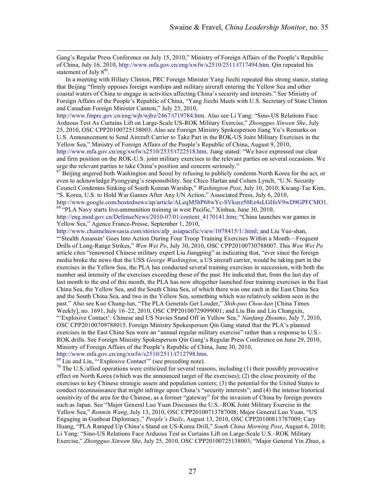Gang's Regular Press Conference on July 15, 2010," Ministry of Foreign Affairs of the People's Republic of China, July 16, 2010, http://www.mfa.gov.cn/eng/xwfw/s2510/2511/t717494.htm. Qin repeated his statement of July  $8<sup>th</sup>$ .

In a meeting with Hillary Clinton, PRC Foreign Minister Yang Jiechi repeated this strong stance, stating that Beijing "firmly opposes foreign warships and military aircraft entering the Yellow Sea and other coastal waters of China to engage in activities affecting China's security and interests." See Ministry of Foreign Affairs of the People's Republic of China, "Yang Jiechi Meets with U.S. Secretary of State Clinton and Canadian Foreign Minister Cannon," July 23, 2010,

http://www.fmprc.gov.cn/eng/wjb/wjbz/2467/t719784.htm. Also see Li Yang: "Sino-US Relations Face Arduous Test As Curtains Lift on Large-Scale US-ROK Military Exercise," *Zhongguo Xinwen She*, July 25, 2010, OSC CPP20100725138003. Also see Foreign Ministry Spokesperson Jiang Yu's Remarks on U.S. Announcement to Send Aircraft Carrier to Take Part in the ROK-US Joint Military Exercises in the Yellow Sea," Ministry of Foreign Affairs of the People's Republic of China, August 9, 2010, http://www.mfa.gov.cn/eng/xwfw/s2510/2535/t722518.htm. Jiang stated: "We have expressed our clear and firm position on the ROK-U.S. joint military exercises to the relevant parties on several occasions. We

urge the relevant parties to take China's position and concern seriously."<br><sup>67</sup> Beijing angered both Washington and Seoul by refusing to publicly condemn North Korea for the act, or even to acknowledge Pyongyang's responsibility. See Chico Harlan and Colum Lynch, "U.N. Security Council Condemns Sinking of South Korean Warship," *Washington Post*, July 10, 2010; Kwang-Tae Kim, "S. Korea, U.S. to Hold War Games After Any UN Action," Associated Press, July 6, 2010, http://www.google.com/hostednews/ap/article/ALeqM5hP68wYc-SVkurz50Ez4sLGIfoV9wD9GPFCMO1. <sup>68</sup> "PLA Navy starts live-ammunition training in west Pacific," Xinhua, June 30, 2010,

http://eng.mod.gov.cn/DefenseNews/2010-07/01/content\_4170141.htm; "China launches war games in Yellow Sea," Agence France-Presse, September 1, 2010,

http://www.channelnewsasia.com/stories/afp\_asiapacific/view/1078415/1/.html; and Liu Yue-shan, "'Stealth Assassin' Goes Into Action During Four Troop Training Exercises Within a Month—Frequent Drills of Long-Range Strikes," *Wen Wei Po*, July 30, 2010, OSC CPP20100730788007. This *Wen Wei Po* article cites "renowned Chinese military expert Liu Jiangping" as indicating that, "ever since the foreign media broke the news that the USS *George Washington*, a US aircraft carrier, would be taking part in the exercises in the Yellow Sea, the PLA has conducted several training exercises in succession, with both the number and intensity of the exercises exceeding those of the past. He indicated that, from the last day of last month to the end of this month, the PLA has now altogether launched four training exercises in the East China Sea, the Yellow Sea, and the South China Sea, of which there was one each in the East China Sea and the South China Sea, and two in the Yellow Sea, something which was relatively seldom seen in the past." Also see Kuo Chung-lun, "The PLA Generals Get Louder," *Shih-pao Chou-kan* [China Times Weekly], no. 1691, July 16–22, 2010, OSC CPP20100729099001; and Liu Bin and Liu Changxin, "'Explosive Contact': Chinese and US Navies Stand Off in Yellow Sea," *Nanfang Zhoumo*, July 7, 2010, OSC CPP20100709788015. Foreign Ministry Spokesperson Qin Gang stated that the PLA's planned exercises in the East China Sea were an "annual regular military exercise" rather than a response to U.S.- ROK drills. See Foreign Ministry Spokesperson Qin Gang's Regular Press Conference on June 29, 2010, Ministry of Foreign Affairs of the People's Republic of China, June 30, 2010,

http://www.mfa.gov.cn/eng/xwfw/s2510/2511/t712798.htm. <sup>69</sup> Liu and Liu, "'Explosive Contact'" (see preceding note). <sup>70</sup> The U.S./allied operations were criticized for several reasons, including (1) their possibly provoc effect on North Korea (which was the announced target of the exercises); (2) the close proximity of the exercises to key Chinese strategic assets and population centers; (3) the potential for the United States to conduct reconnaissance that might infringe upon China's "security interests"; and (4) the intense historical sensitivity of the area for the Chinese, as a former "gateway" for the invasion of China by foreign powers such as Japan. See "Major General Luo Yuan Discusses the U.S.–ROK Joint Military Exercise in the Yellow Sea," *Renmin Wang*, July 13, 2010, OSC CPP20100713787008; Major General Luo Yuan, "US Engaging in Gunboat Diplomacy," *People's Daily*, August 13, 2010, OSC CPP20100813787009; Cary Huang, "PLA Ramped Up China's Stand on US-Korea Drill," *South China Morning Post*, August 6, 2010; Li Yang: "Sino-US Relations Face Arduous Test as Curtains Lift on Large-Scale U.S.–ROK Military Exercise," *Zhongguo Xinwen She*, July 25, 2010, OSC CPP20100725138003; "Major General Yin Zhuo, a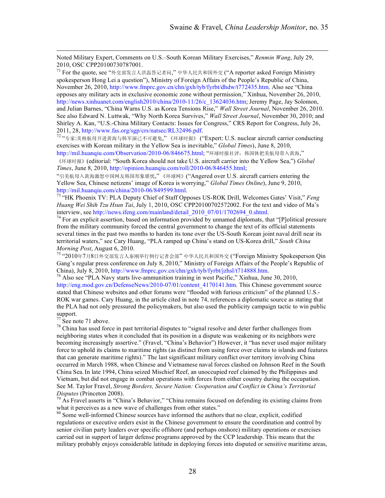Noted Military Expert, Comments on U.S.–South Korean Military Exercises," *Renmin Wang*, July 29, 2010, OSC CPP20100730787001.

 $^{71}$  For the quote, see "外交部发言人洪磊答记者问," 中华人民共和国外交 ("A reporter asked Foreign Ministry spokesperson Hong Lei a question"), Ministry of Foreign Affairs of the People's Republic of China, November 26, 2010, http://www.fmprc.gov.cn/chn/gxh/tyb/fyrbt/dhdw/t772435.htm. Also see "China opposes any military acts in exclusive economic zone without permission," Xinhua, November 26, 2010, http://news.xinhuanet.com/english2010/china/2010-11/26/c\_13624036.htm; Jeremy Page, Jay Solomon, and Julian Barnes, "China Warns U.S. as Korea Tensions Rise," *Wall Street Journal*, November 26, 2010. See also Edward N. Luttwak, "Why North Korea Survives," *Wall Street Journal*, November 30, 2010; and Shirley A. Kan, "U.S.-China Military Contacts: Issues for Congress," CRS Report for Congress, July 26, 2011, 28, http://www.fas.org/sgp/crs/natsec/RL32496.pdf.<br><sup>72</sup> "专家:美核航母开进黄海与韩军演已不可避免,"《环球时报》 ("Expert: U.S. nuclear aircraft carrier conducting

exercises with Korean military in the Yellow Sea is inevitable," *Global Times*), June 8, 2010, http://mil.huanqiu.com/Observation/2010-06/846675.html; "环球时报社评:韩国休把美航母带入黄海,"

《环球时报》(editorial: "South Korea should not take U.S. aircraft carrier into the Yellow Sea,") *Global Times*, June 8, 2010, http://opinion.huanqiu.com/roll/2010-06/846455.html;

"引美航母入黄海激怒中国网友韩国形象堪忧," 《环球网》("Angered over U.S. aircraft carriers entering the Yellow Sea, Chinese netizens' image of Korea is worrying," *Global Times Online*), June 9, 2010, http://mil.huanqiu.com/china/2010-06/849599.html.

<sup>73 "</sup>HK Phoenix TV: PLA Deputy Chief of Staff Opposes US-ROK Drill, Welcomes Gates' Visit," *Feng Huang Wei Shih Tzu Hsun Tai*, July 1, 2010, OSC CPP20100702572002. For the text and video of Ma's interview, see http://news.ifeng.com/mainland/detail 2010 07/01/1702694 0.shtml.

<sup>74</sup> For an explicit assertion, based on information provided by unnamed diplomats, that "[P]olitical pressure from the military community forced the central government to change the text of its official statements several times in the past two months to harden its tone over the US-South Korean joint naval drill near its territorial waters," see Cary Huang, "PLA ramped up China's stand on US-Korea drill," *South China Morning Post*, August 6, 2010.

75 "2010年7月8日外交部发言人秦刚举行例行记者会部" 中华人民共和国外交 ("Foreign Ministry Spokesperson Qin Gang's regular press conference on July 8, 2010," Ministry of Foreign Affairs of the People's Republic of China), July 8, 2010, http://www.fmprc.gov.cn/chn/gxh/tyb/fyrbt/jzhsl/t714888.htm.

<sup>76</sup> Also see "PLA Navy starts live-ammunition training in west Pacific," Xinhua, June 30, 2010, http://eng.mod.gov.cn/DefenseNews/2010-07/01/content\_4170141.htm. This Chinese government source stated that Chinese websites and other forums were "flooded with furious criticism" of the planned U.S.- ROK war games. Cary Huang, in the article cited in note 74, references a diplomatic source as stating that the PLA had not only pressured the policymakers, but also used the publicity campaign tactic to win public support.

 $77$  See note 71 above.

 $78$  China has used force in past territorial disputes to "signal resolve and deter further challenges from neighboring states when it concluded that its position in a dispute was weakening or its neighbors were becoming increasingly assertive." (Fravel, "China's Behavior") However, it "has never used major military force to uphold its claims to maritime rights (as distinct from using force over claims to islands and features that can generate maritime rights)." The last significant military conflict over territory involving China occurred in March 1988, when Chinese and Vietnamese naval forces clashed on Johnson Reef in the South China Sea.In late 1994, China seized Mischief Reef, an unoccupied reef claimed by the Philippines and Vietnam, but did not engage in combat operations with forces from either country during the occupation. See M. Taylor Fravel, *Strong Borders, Secure Nation: Cooperation and Conflict in China's Territorial Disputes* (Princeton 2008).<br><sup>79</sup> As Fravel asserts in "China's Behavior," "China remains focused on defending its existing claims from

what it perceives as a new wave of challenges from other states."<br><sup>80</sup> Some well-informed Chinese sources have informed the authors that no clear, explicit, codified

regulations or executive orders exist in the Chinese government to ensure the coordination and control by senior civilian party leaders over specific offshore (and perhaps onshore) military operations or exercises carried out in support of larger defense programs approved by the CCP leadership. This means that the military probably enjoys considerable latitude in deploying forces into disputed or sensitive maritime areas,